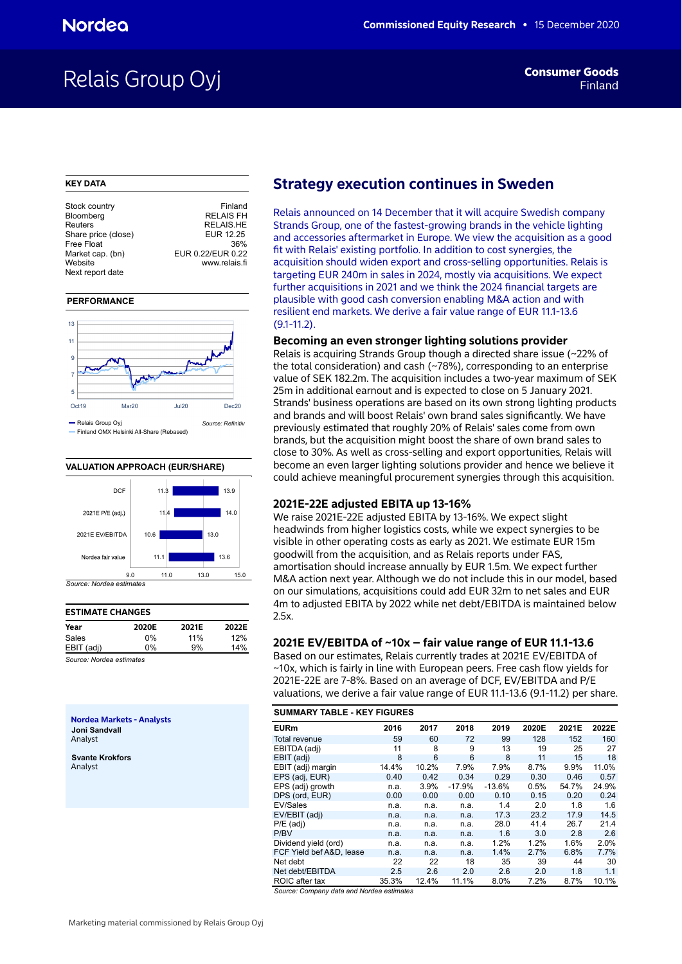# Relais Group Oyj

#### **KEY DATA**

| Stock country       | Finland           |
|---------------------|-------------------|
| Bloomberg           | <b>RELAIS FH</b>  |
| Reuters             | <b>RELAIS.HE</b>  |
| Share price (close) | EUR 12.25         |
| Free Float          | 36%               |
| Market cap. (bn)    | EUR 0.22/EUR 0.22 |
| Website             | www.relais.fi     |
| Next report date    |                   |
|                     |                   |

#### **PERFORMANCE**



#### **VALUATION APPROACH (EUR/SHARE)**



#### **ESTIMATE CHANGES Year 2020E 2021E 2022E** Sales 0% 11% 12% EBIT (adj) 0% 9% 14%

*Source: Nordea estimates*

**Nordea Markets - Analysts Joni Sandvall** Analyst

**Svante Krokfors** Analyst

# **Strategy execution continues in Sweden**

Relais announced on 14 December that it will acquire Swedish company Strands Group, one of the fastest-growing brands in the vehicle lighting and accessories aftermarket in Europe. We view the acquisition as a good fit with Relais' existing portfolio. In addition to cost synergies, the acquisition should widen export and cross-selling opportunities. Relais is targeting EUR 240m in sales in 2024, mostly via acquisitions. We expect further acquisitions in 2021 and we think the 2024 financial targets are plausible with good cash conversion enabling M&A action and with resilient end markets. We derive a fair value range of EUR 11.1-13.6  $(91-11.2)$ 

#### **Becoming an even stronger lighting solutions provider**

Relais is acquiring Strands Group though a directed share issue (~22% of the total consideration) and cash (~78%), corresponding to an enterprise value of SEK 182.2m. The acquisition includes a two-year maximum of SEK 25m in additional earnout and is expected to close on 5 January 2021. Strands' business operations are based on its own strong lighting products and brands and will boost Relais' own brand sales significantly. We have previously estimated that roughly 20% of Relais' sales come from own brands, but the acquisition might boost the share of own brand sales to close to 30%. As well as cross-selling and export opportunities, Relais will become an even larger lighting solutions provider and hence we believe it could achieve meaningful procurement synergies through this acquisition.

#### **2021E-22E adjusted EBITA up 13-16%**

We raise 2021E-22E adjusted EBITA by 13-16%. We expect slight headwinds from higher logistics costs, while we expect synergies to be visible in other operating costs as early as 2021. We estimate EUR 15m goodwill from the acquisition, and as Relais reports under FAS, amortisation should increase annually by EUR 1.5m. We expect further M&A action next year. Although we do not include this in our model, based on our simulations, acquisitions could add EUR 32m to net sales and EUR 4m to adjusted EBITA by 2022 while net debt/EBITDA is maintained below 2.5x.

## **2021E EV/EBITDA of ~10x – fair value range of EUR 11.1-13.6**

Based on our estimates, Relais currently trades at 2021E EV/EBITDA of ~10x, which is fairly in line with European peers. Free cash flow yields for 2021E-22E are 7-8%. Based on an average of DCF, EV/EBITDA and P/E valuations, we derive a fair value range of EUR 11.1-13.6 (9.1-11.2) per share.

| <b>SUMMARY TABLE - KEY FIGURES</b> |       |       |          |          |       |       |       |  |  |  |  |  |  |
|------------------------------------|-------|-------|----------|----------|-------|-------|-------|--|--|--|--|--|--|
| <b>EURm</b>                        | 2016  | 2017  | 2018     | 2019     | 2020E | 2021E | 2022E |  |  |  |  |  |  |
| Total revenue                      | 59    | 60    | 72       | 99       | 128   | 152   | 160   |  |  |  |  |  |  |
| EBITDA (adj)                       | 11    | 8     | 9        | 13       | 19    | 25    | 27    |  |  |  |  |  |  |
| EBIT (adj)                         | 8     | 6     | 6        | 8        | 11    | 15    | 18    |  |  |  |  |  |  |
| EBIT (adj) margin                  | 14.4% | 10.2% | 7.9%     | 7.9%     | 8.7%  | 9.9%  | 11.0% |  |  |  |  |  |  |
| EPS (adj, EUR)                     | 0.40  | 0.42  | 0.34     | 0.29     | 0.30  | 0.46  | 0.57  |  |  |  |  |  |  |
| EPS (adj) growth                   | n.a.  | 3.9%  | $-17.9%$ | $-13.6%$ | 0.5%  | 54.7% | 24.9% |  |  |  |  |  |  |
| DPS (ord, EUR)                     | 0.00  | 0.00  | 0.00     | 0.10     | 0.15  | 0.20  | 0.24  |  |  |  |  |  |  |
| <b>EV/Sales</b>                    | n.a.  | n.a.  | n.a.     | 1.4      | 2.0   | 1.8   | 1.6   |  |  |  |  |  |  |
| EV/EBIT (adj)                      | n.a.  | n.a.  | n.a.     | 17.3     | 23.2  | 17.9  | 14.5  |  |  |  |  |  |  |
| $P/E$ (adj)                        | n.a.  | n.a.  | n.a.     | 28.0     | 41.4  | 26.7  | 21.4  |  |  |  |  |  |  |
| P/BV                               | n.a.  | n.a.  | n.a.     | 1.6      | 3.0   | 2.8   | 2.6   |  |  |  |  |  |  |
| Dividend yield (ord)               | n.a.  | n.a.  | n.a.     | 1.2%     | 1.2%  | 1.6%  | 2.0%  |  |  |  |  |  |  |
| FCF Yield bef A&D, lease           | n.a.  | n.a.  | n.a.     | 1.4%     | 2.7%  | 6.8%  | 7.7%  |  |  |  |  |  |  |
| Net debt                           | 22    | 22    | 18       | 35       | 39    | 44    | 30    |  |  |  |  |  |  |
| Net debt/EBITDA                    | 2.5   | 2.6   | 2.0      | 2.6      | 2.0   | 1.8   | 1.1   |  |  |  |  |  |  |
| ROIC after tax                     | 35.3% | 12.4% | 11.1%    | 8.0%     | 7.2%  | 8.7%  | 10.1% |  |  |  |  |  |  |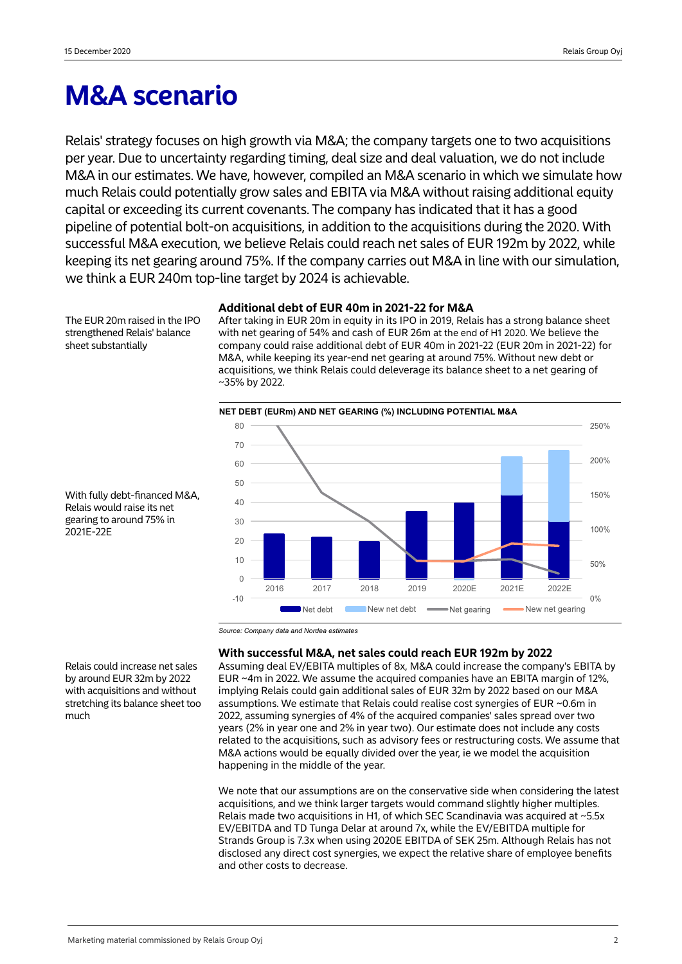# **M&A scenario**

Relais' strategy focuses on high growth via M&A; the company targets one to two acquisitions per year. Due to uncertainty regarding timing, deal size and deal valuation, we do not include M&A in our estimates. We have, however, compiled an M&A scenario in which we simulate how much Relais could potentially grow sales and EBITA via M&A without raising additional equity capital or exceeding its current covenants. The company has indicated that it has a good pipeline of potential bolt-on acquisitions, in addition to the acquisitions during the 2020. With successful M&A execution, we believe Relais could reach net sales of EUR 192m by 2022, while keeping its net gearing around 75%. If the company carries out M&A in line with our simulation, we think a EUR 240m top-line target by 2024 is achievable.

The EUR 20m raised in the IPO strengthened Relais' balance sheet substantially

### **Additional debt of EUR 40m in 2021-22 for M&A**

After taking in EUR 20m in equity in its IPO in 2019, Relais has a strong balance sheet with net gearing of 54% and cash of EUR 26m at the end of H1 2020. We believe the company could raise additional debt of EUR 40m in 2021-22 (EUR 20m in 2021-22) for M&A, while keeping its year-end net gearing at around 75%. Without new debt or acquisitions, we think Relais could deleverage its balance sheet to a net gearing of ~35% by 2022.



With fully debt-financed M&A, Relais would raise its net gearing to around 75% in 2021E-22E

*Source: Company data and Nordea estimates*

# **With successful M&A, net sales could reach EUR 192m by 2022**

Assuming deal EV/EBITA multiples of 8x, M&A could increase the company's EBITA by EUR ~4m in 2022. We assume the acquired companies have an EBITA margin of 12%, implying Relais could gain additional sales of EUR 32m by 2022 based on our M&A assumptions. We estimate that Relais could realise cost synergies of EUR ~0.6m in 2022, assuming synergies of 4% of the acquired companies' sales spread over two years (2% in year one and 2% in year two). Our estimate does not include any costs related to the acquisitions, such as advisory fees or restructuring costs. We assume that M&A actions would be equally divided over the year, ie we model the acquisition happening in the middle of the year.

We note that our assumptions are on the conservative side when considering the latest acquisitions, and we think larger targets would command slightly higher multiples. Relais made two acquisitions in H1, of which SEC Scandinavia was acquired at  $\sim$  5.5x EV/EBITDA and TD Tunga Delar at around 7x, while the EV/EBITDA multiple for Strands Group is 7.3x when using 2020E EBITDA of SEK 25m. Although Relais has not disclosed any direct cost synergies, we expect the relative share of employee benefits and other costs to decrease.

Relais could increase net sales by around EUR 32m by 2022 with acquisitions and without stretching its balance sheet too much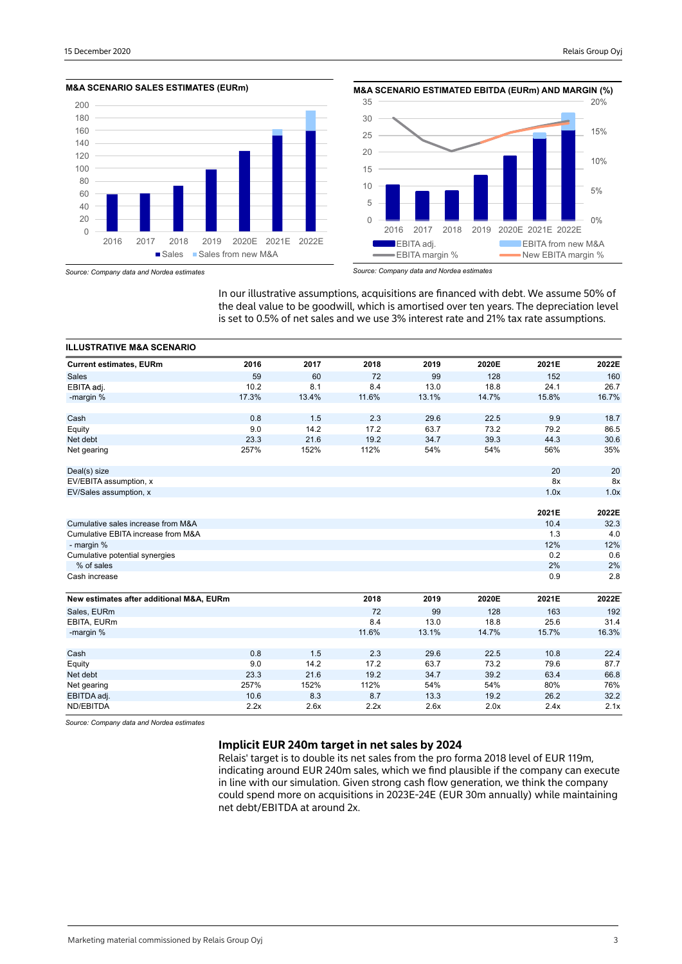





*Source: Company data and Nordea estimates*

In our illustrative assumptions, acquisitions are financed with debt. We assume 50% of the deal value to be goodwill, which is amortised over ten years. The depreciation level is set to 0.5% of net sales and we use 3% interest rate and 21% tax rate assumptions.

| <b>ILLUSTRATIVE M&amp;A SCENARIO</b>     |       |       |       |       |       |       |       |
|------------------------------------------|-------|-------|-------|-------|-------|-------|-------|
| <b>Current estimates, EURm</b>           | 2016  | 2017  | 2018  | 2019  | 2020E | 2021E | 2022E |
| <b>Sales</b>                             | 59    | 60    | 72    | 99    | 128   | 152   | 160   |
| EBITA adj.                               | 10.2  | 8.1   | 8.4   | 13.0  | 18.8  | 24.1  | 26.7  |
| -margin %                                | 17.3% | 13.4% | 11.6% | 13.1% | 14.7% | 15.8% | 16.7% |
| Cash                                     | 0.8   | 1.5   | 2.3   | 29.6  | 22.5  | 9.9   | 18.7  |
| Equity                                   | 9.0   | 14.2  | 17.2  | 63.7  | 73.2  | 79.2  | 86.5  |
| Net debt                                 | 23.3  | 21.6  | 19.2  | 34.7  | 39.3  | 44.3  | 30.6  |
| Net gearing                              | 257%  | 152%  | 112%  | 54%   | 54%   | 56%   | 35%   |
| Deal(s) size                             |       |       |       |       |       | 20    | 20    |
| EV/EBITA assumption, x                   |       |       |       |       |       | 8x    | 8x    |
| EV/Sales assumption, x                   |       |       |       |       |       | 1.0x  | 1.0x  |
|                                          |       |       |       |       |       |       |       |
|                                          |       |       |       |       |       | 2021E | 2022E |
| Cumulative sales increase from M&A       |       |       |       |       |       | 10.4  | 32.3  |
| Cumulative EBITA increase from M&A       |       |       |       |       |       | 1.3   | 4.0   |
| - margin %                               |       |       |       |       |       | 12%   | 12%   |
| Cumulative potential synergies           |       |       |       |       |       | 0.2   | 0.6   |
| % of sales                               |       |       |       |       |       | 2%    | 2%    |
| Cash increase                            |       |       |       |       |       | 0.9   | 2.8   |
| New estimates after additional M&A, EURm |       |       | 2018  | 2019  | 2020E | 2021E | 2022E |
| Sales, EURm                              |       |       | 72    | 99    | 128   | 163   | 192   |
| EBITA, EURm                              |       |       | 8.4   | 13.0  | 18.8  | 25.6  | 31.4  |
| -margin %                                |       |       | 11.6% | 13.1% | 14.7% | 15.7% | 16.3% |
|                                          |       |       |       |       |       |       |       |
| Cash                                     | 0.8   | 1.5   | 2.3   | 29.6  | 22.5  | 10.8  | 22.4  |
| Equity                                   | 9.0   | 14.2  | 17.2  | 63.7  | 73.2  | 79.6  | 87.7  |
| Net debt                                 | 23.3  | 21.6  | 19.2  | 34.7  | 39.2  | 63.4  | 66.8  |
| Net gearing                              | 257%  | 152%  | 112%  | 54%   | 54%   | 80%   | 76%   |
| EBITDA adj.                              | 10.6  | 8.3   | 8.7   | 13.3  | 19.2  | 26.2  | 32.2  |
| ND/EBITDA                                | 2.2x  | 2.6x  | 2.2x  | 2.6x  | 2.0x  | 2.4x  | 2.1x  |

*Source: Company data and Nordea estimates*

# **Implicit EUR 240m target in net sales by 2024**

Relais' target is to double its net sales from the pro forma 2018 level of EUR 119m, indicating around EUR 240m sales, which we find plausible if the company can execute in line with our simulation. Given strong cash flow generation, we think the company could spend more on acquisitions in 2023E-24E (EUR 30m annually) while maintaining net debt/EBITDA at around 2x.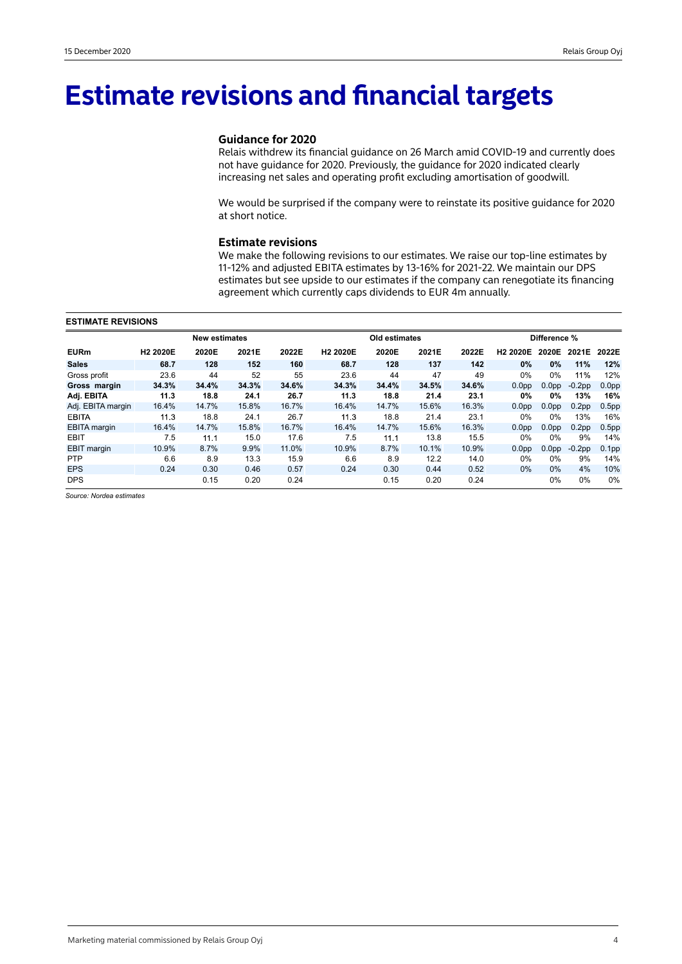# **Estimate revisions and financial targets**

# **Guidance for 2020**

Relais withdrew its financial guidance on 26 March amid COVID-19 and currently does not have guidance for 2020. Previously, the guidance for 2020 indicated clearly increasing net sales and operating profit excluding amortisation of goodwill.

We would be surprised if the company were to reinstate its positive guidance for 2020 at short notice.

### **Estimate revisions**

We make the following revisions to our estimates. We raise our top-line estimates by 11-12% and adjusted EBITA estimates by 13-16% for 2021-22. We maintain our DPS estimates but see upside to our estimates if the company can renegotiate its financing agreement which currently caps dividends to EUR 4m annually.

#### **ESTIMATE REVISIONS**

|                     |                      | <b>New estimates</b> |       |       |                      | Old estimates |       |       | Difference %         |                   |                   |                   |
|---------------------|----------------------|----------------------|-------|-------|----------------------|---------------|-------|-------|----------------------|-------------------|-------------------|-------------------|
| <b>EURm</b>         | H <sub>2</sub> 2020E | 2020E                | 2021E | 2022E | H <sub>2</sub> 2020E | 2020E         | 2021E | 2022E | H <sub>2</sub> 2020E | 2020E             | 2021E             | 2022E             |
| <b>Sales</b>        | 68.7                 | 128                  | 152   | 160   | 68.7                 | 128           | 137   | 142   | $0\%$                | $0\%$             | 11%               | 12%               |
| Gross profit        | 23.6                 | 44                   | 52    | 55    | 23.6                 | 44            | 47    | 49    | 0%                   | $0\%$             | 11%               | 12%               |
| Gross margin        | 34.3%                | 34.4%                | 34.3% | 34.6% | 34.3%                | 34.4%         | 34.5% | 34.6% | 0.0 <sub>pp</sub>    | 0.0 <sub>pp</sub> | $-0.2$ pp         | 0.0 <sub>pp</sub> |
| Adj. EBITA          | 11.3                 | 18.8                 | 24.1  | 26.7  | 11.3                 | 18.8          | 21.4  | 23.1  | 0%                   | 0%                | 13%               | 16%               |
| Adj. EBITA margin   | 16.4%                | 14.7%                | 15.8% | 16.7% | 16.4%                | 14.7%         | 15.6% | 16.3% | 0.0 <sub>pp</sub>    | 0.0 <sub>pp</sub> | 0.2 <sub>pp</sub> | 0.5 <sub>pp</sub> |
| <b>EBITA</b>        | 11.3                 | 18.8                 | 24.1  | 26.7  | 11.3                 | 18.8          | 21.4  | 23.1  | $0\%$                | 0%                | 13%               | 16%               |
| <b>EBITA</b> margin | 16.4%                | 14.7%                | 15.8% | 16.7% | 16.4%                | 14.7%         | 15.6% | 16.3% | 0.0 <sub>pp</sub>    | 0.0 <sub>pp</sub> | 0.2 <sub>pp</sub> | 0.5 <sub>pp</sub> |
| <b>EBIT</b>         | 7.5                  | 11.1                 | 15.0  | 17.6  | 7.5                  | 11.1          | 13.8  | 15.5  | $0\%$                | 0%                | 9%                | 14%               |
| <b>EBIT</b> margin  | 10.9%                | 8.7%                 | 9.9%  | 11.0% | 10.9%                | 8.7%          | 10.1% | 10.9% | 0.0 <sub>pp</sub>    | 0.0 <sub>pp</sub> | $-0.2$ pp         | 0.1 <sub>pp</sub> |
| <b>PTP</b>          | 6.6                  | 8.9                  | 13.3  | 15.9  | 6.6                  | 8.9           | 12.2  | 14.0  | $0\%$                | 0%                | 9%                | 14%               |
| <b>EPS</b>          | 0.24                 | 0.30                 | 0.46  | 0.57  | 0.24                 | 0.30          | 0.44  | 0.52  | $0\%$                | $0\%$             | 4%                | 10%               |
| <b>DPS</b>          |                      | 0.15                 | 0.20  | 0.24  |                      | 0.15          | 0.20  | 0.24  |                      | 0%                | 0%                | 0%                |

*Source: Nordea estimates*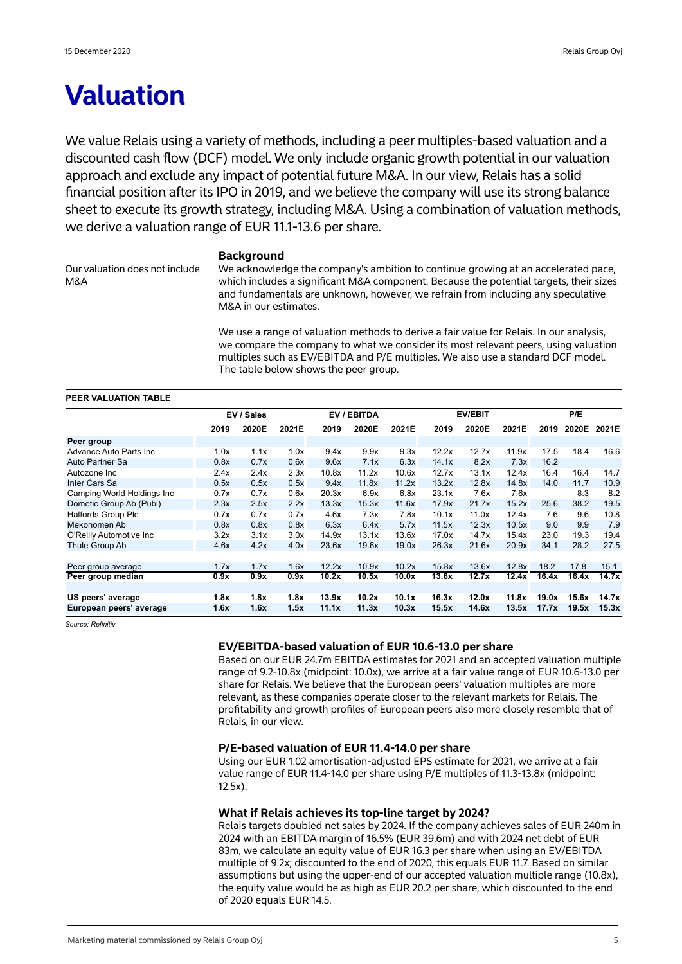# **Valuation**

We value Relais using a variety of methods, including a peer multiples-based valuation and a discounted cash flow (DCF) model. We only include organic growth potential in our valuation approach and exclude any impact of potential future M&A. In our view, Relais has a solid financial position after its IPO in 2019, and we believe the company will use its strong balance sheet to execute its growth strategy, including M&A. Using a combination of valuation methods, we derive a valuation range of EUR 11.1-13.6 per share.

Our valuation does not include M&A

#### **Background**

We acknowledge the company's ambition to continue growing at an accelerated pace, which includes a significant M&A component. Because the potential targets, their sizes and fundamentals are unknown, however, we refrain from including any speculative M&A in our estimates.

We use a range of valuation methods to derive a fair value for Relais. In our analysis, we compare the company to what we consider its most relevant peers, using valuation multiples such as EV/EBITDA and P/E multiples. We also use a standard DCF model. The table below shows the peer group.

| PEER VALUATION TABLE       |      |            |       |       |             |       |       |                |       |       |       |       |
|----------------------------|------|------------|-------|-------|-------------|-------|-------|----------------|-------|-------|-------|-------|
|                            |      | EV / Sales |       |       | EV / EBITDA |       |       | <b>EV/EBIT</b> |       | P/E   |       |       |
|                            | 2019 | 2020E      | 2021E | 2019  | 2020E       | 2021E | 2019  | 2020E          | 2021E | 2019  | 2020E | 2021E |
| Peer group                 |      |            |       |       |             |       |       |                |       |       |       |       |
| Advance Auto Parts Inc     | 1.0x | 1.1x       | 1.0x  | 9.4x  | 9.9x        | 9.3x  | 12.2x | 12.7x          | 11.9x | 17.5  | 18.4  | 16.6  |
| Auto Partner Sa            | 0.8x | 0.7x       | 0.6x  | 9.6x  | 7.1x        | 6.3x  | 14.1x | 8.2x           | 7.3x  | 16.2  |       |       |
| Autozone Inc               | 2.4x | 2.4x       | 2.3x  | 10.8x | 11.2x       | 10.6x | 12.7x | 13.1x          | 12.4x | 16.4  | 16.4  | 14.7  |
| Inter Cars Sa              | 0.5x | 0.5x       | 0.5x  | 9.4x  | 11.8x       | 11.2x | 13.2x | 12.8x          | 14.8x | 14.0  | 11.7  | 10.9  |
| Camping World Holdings Inc | 0.7x | 0.7x       | 0.6x  | 20.3x | 6.9x        | 6.8x  | 23.1x | 7.6x           | 7.6x  |       | 8.3   | 8.2   |
| Dometic Group Ab (Publ)    | 2.3x | 2.5x       | 2.2x  | 13.3x | 15.3x       | 11.6x | 17.9x | 21.7x          | 15.2x | 25.6  | 38.2  | 19.5  |
| <b>Halfords Group Plc</b>  | 0.7x | 0.7x       | 0.7x  | 4.6x  | 7.3x        | 7.8x  | 10.1x | 11.0x          | 12.4x | 7.6   | 9.6   | 10.8  |
| Mekonomen Ab               | 0.8x | 0.8x       | 0.8x  | 6.3x  | 6.4x        | 5.7x  | 11.5x | 12.3x          | 10.5x | 9.0   | 9.9   | 7.9   |
| O'Reilly Automotive Inc    | 3.2x | 3.1x       | 3.0x  | 14.9x | 13.1x       | 13.6x | 17.0x | 14.7x          | 15.4x | 23.0  | 19.3  | 19.4  |
| Thule Group Ab             | 4.6x | 4.2x       | 4.0x  | 23.6x | 19.6x       | 19.0x | 26.3x | 21.6x          | 20.9x | 34.1  | 28.2  | 27.5  |
|                            |      |            |       |       |             |       |       |                |       |       |       |       |
| Peer group average         | 1.7x | 1.7x       | 1.6x  | 12.2x | 10.9x       | 10.2x | 15.8x | 13.6x          | 12.8x | 18.2  | 17.8  | 15.1  |
| Peer group median          | 0.9x | 0.9x       | 0.9x  | 10.2x | 10.5x       | 10.0x | 13.6x | 12.7x          | 12.4x | 16.4x | 16.4x | 14.7x |
|                            |      |            |       |       |             |       |       |                |       |       |       |       |
| US peers' average          | 1.8x | 1.8x       | 1.8x  | 13.9x | 10.2x       | 10.1x | 16.3x | 12.0x          | 11.8x | 19.0x | 15.6x | 14.7x |
| European peers' average    | 1.6x | 1.6x       | 1.5x  | 11.1x | 11.3x       | 10.3x | 15.5x | 14.6x          | 13.5x | 17.7x | 19.5x | 15.3x |

*Source: Refinitiv*

# **EV/EBITDA-based valuation of EUR 10.6-13.0 per share**

Based on our EUR 24.7m EBITDA estimates for 2021 and an accepted valuation multiple range of 9.2-10.8x (midpoint: 10.0x), we arrive at a fair value range of EUR 10.6-13.0 per share for Relais. We believe that the European peers' valuation multiples are more relevant, as these companies operate closer to the relevant markets for Relais. The profitability and growth profiles of European peers also more closely resemble that of Relais, in our view.

# **P/E-based valuation of EUR 11.4-14.0 per share**

Using our EUR 1.02 amortisation-adjusted EPS estimate for 2021, we arrive at a fair value range of EUR 11.4-14.0 per share using P/E multiples of 11.3-13.8x (midpoint: 12.5x).

# **What if Relais achieves its top-line target by 2024?**

Relais targets doubled net sales by 2024. If the company achieves sales of EUR 240m in 2024 with an EBITDA margin of 16.5% (EUR 39.6m) and with 2024 net debt of EUR 83m, we calculate an equity value of EUR 16.3 per share when using an EV/EBITDA multiple of 9.2x; discounted to the end of 2020, this equals EUR 11.7. Based on similar assumptions but using the upper-end of our accepted valuation multiple range (10.8x), the equity value would be as high as EUR 20.2 per share, which discounted to the end of 2020 equals EUR 14.5.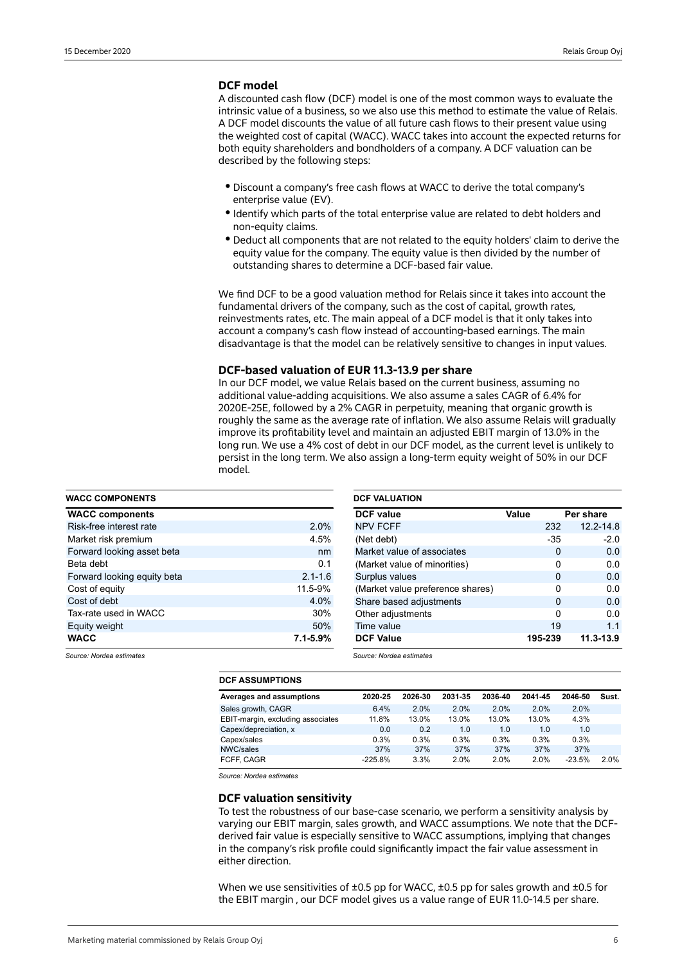### **DCF model**

A discounted cash flow (DCF) model is one of the most common ways to evaluate the intrinsic value of a business, so we also use this method to estimate the value of Relais. A DCF model discounts the value of all future cash flows to their present value using the weighted cost of capital (WACC). WACC takes into account the expected returns for both equity shareholders and bondholders of a company. A DCF valuation can be described by the following steps:

- · Discount a company's free cash flows at WACC to derive the total company's enterprise value (EV).
- $\bullet$  Identify which parts of the total enterprise value are related to debt holders and non-equity claims.
- $\bullet$  Deduct all components that are not related to the equity holders' claim to derive the equity value for the company. The equity value is then divided by the number of outstanding shares to determine a DCF-based fair value.

We find DCF to be a good valuation method for Relais since it takes into account the fundamental drivers of the company, such as the cost of capital, growth rates, reinvestments rates, etc. The main appeal of a DCF model is that it only takes into account a company's cash flow instead of accounting-based earnings. The main disadvantage is that the model can be relatively sensitive to changes in input values.

#### **DCF-based valuation of EUR 11.3-13.9 per share**

In our DCF model, we value Relais based on the current business, assuming no additional value-adding acquisitions. We also assume a sales CAGR of 6.4% for 2020E-25E, followed by a 2% CAGR in perpetuity, meaning that organic growth is roughly the same as the average rate of inflation. We also assume Relais will gradually improve its profitability level and maintain an adjusted EBIT margin of 13.0% in the long run. We use a 4% cost of debt in our DCF model, as the current level is unlikely to persist in the long term. We also assign a long-term equity weight of 50% in our DCF model.

| <b>WACC COMPONENTS</b>      |              |
|-----------------------------|--------------|
| <b>WACC components</b>      |              |
| Risk-free interest rate     | 2.0%         |
| Market risk premium         | 4.5%         |
| Forward looking asset beta  | nm           |
| Beta debt                   | 0.1          |
| Forward looking equity beta | $2.1 - 1.6$  |
| Cost of equity              | 11.5-9%      |
| Cost of debt                | 4.0%         |
| Tax-rate used in WACC       | 30%          |
| Equity weight               | 50%          |
| <b>WACC</b>                 | $7.1 - 5.9%$ |

| <b>DCF VALUATION</b>             |       |          |               |
|----------------------------------|-------|----------|---------------|
| <b>DCF</b> value                 | Value |          | Per share     |
| <b>NPV FCFF</b>                  |       | 232      | 12.2-14.8     |
| (Net debt)                       |       | $-35$    | $-2.0$        |
| Market value of associates       |       | 0        | 0.0           |
| (Market value of minorities)     |       | 0        | 0.0           |
| Surplus values                   |       | $\Omega$ | 0.0           |
| (Market value preference shares) |       | 0        | 0.0           |
| Share based adjustments          |       | $\Omega$ | 0.0           |
| Other adjustments                |       | O        | 0.0           |
| Time value                       |       | 19       | 1.1           |
| <b>DCF Value</b>                 |       | 195-239  | $11.3 - 13.9$ |

*Source: Nordea estimates*

*Source: Nordea estimates*

| <b>DCF ASSUMPTIONS</b>            |           |         |         |         |         |          |       |
|-----------------------------------|-----------|---------|---------|---------|---------|----------|-------|
| Averages and assumptions          | 2020-25   | 2026-30 | 2031-35 | 2036-40 | 2041-45 | 2046-50  | Sust. |
| Sales growth, CAGR                | 6.4%      | 2.0%    | 2.0%    | 2.0%    | 2.0%    | 2.0%     |       |
| EBIT-margin, excluding associates | 11.8%     | 13.0%   | 13.0%   | 13.0%   | 13.0%   | 4.3%     |       |
| Capex/depreciation, x             | 0.0       | 0.2     | 1.0     | 1.0     | 1.0     | 1.0      |       |
| Capex/sales                       | 0.3%      | 0.3%    | 0.3%    | 0.3%    | 0.3%    | 0.3%     |       |
| NWC/sales                         | 37%       | 37%     | 37%     | 37%     | 37%     | 37%      |       |
| FCFF. CAGR                        | $-225.8%$ | 3.3%    | 2.0%    | 2.0%    | 2.0%    | $-23.5%$ | 20%   |

*Source: Nordea estimates*

#### **DCF valuation sensitivity**

To test the robustness of our base-case scenario, we perform a sensitivity analysis by varying our EBIT margin, sales growth, and WACC assumptions. We note that the DCFderived fair value is especially sensitive to WACC assumptions, implying that changes in the company's risk profile could significantly impact the fair value assessment in either direction.

When we use sensitivities of ±0.5 pp for WACC, ±0.5 pp for sales growth and ±0.5 for the EBIT margin , our DCF model gives us a value range of EUR 11.0-14.5 per share.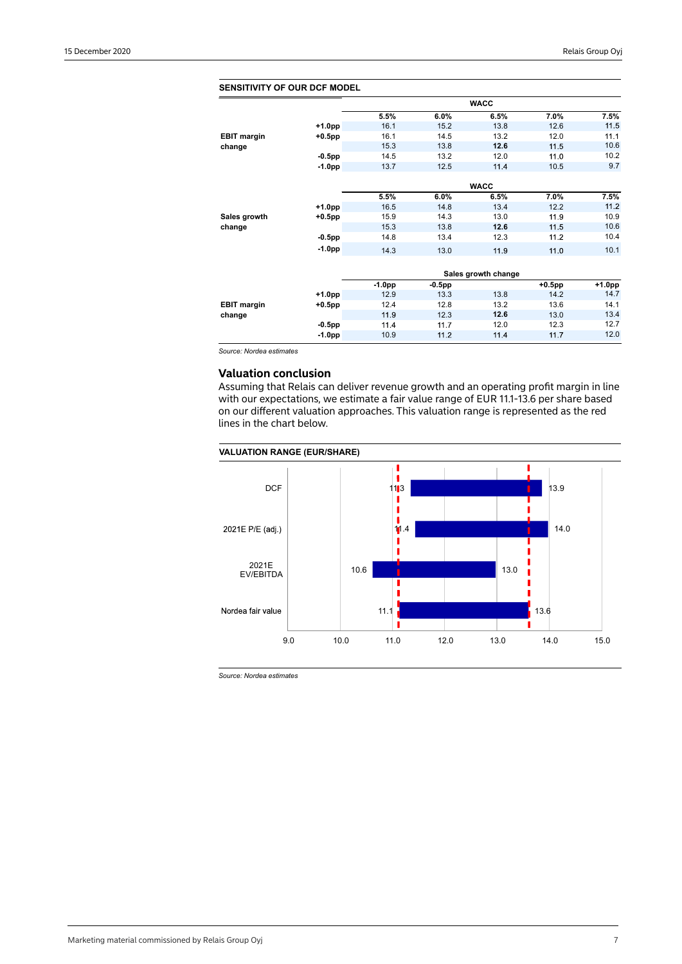| <b>SENSITIVITY OF OUR DCF MODEL</b> |           |          |           |                     |           |        |
|-------------------------------------|-----------|----------|-----------|---------------------|-----------|--------|
|                                     |           |          |           | <b>WACC</b>         |           |        |
|                                     |           | 5.5%     | 6.0%      | 6.5%                | 7.0%      | 7.5%   |
|                                     | +1.0pp    | 16.1     | 15.2      | 13.8                | 12.6      | 11.5   |
| <b>EBIT margin</b>                  | $+0.5$ pp | 16.1     | 14.5      | 13.2                | 12.0      | 11.1   |
| change                              |           | 15.3     | 13.8      | 12.6                | 11.5      | 10.6   |
|                                     | $-0.5$ pp | 14.5     | 13.2      | 12.0                | 11.0      | 10.2   |
|                                     | $-1.0pp$  | 13.7     | 12.5      | 11.4                | 10.5      | 9.7    |
|                                     |           |          |           | <b>WACC</b>         |           |        |
|                                     |           | 5.5%     | 6.0%      | 6.5%                | 7.0%      | 7.5%   |
|                                     | +1.0pp    | 16.5     | 14.8      | 13.4                | 12.2      | 11.2   |
| Sales growth                        | $+0.5$ pp | 15.9     | 14.3      | 13.0                | 11.9      | 10.9   |
| change                              |           | 15.3     | 13.8      | 12.6                | 11.5      | 10.6   |
|                                     | $-0.5$ pp | 14.8     | 13.4      | 12.3                | 11.2      | 10.4   |
|                                     | $-1.0pp$  | 14.3     | 13.0      | 11.9                | 11.0      | 10.1   |
|                                     |           |          |           |                     |           |        |
|                                     |           |          |           | Sales growth change |           |        |
|                                     |           | $-1.0pp$ | $-0.5$ pp |                     | $+0.5$ pp | +1.0pp |
|                                     | +1.0pp    | 12.9     | 13.3      | 13.8                | 14.2      | 14.7   |
| <b>EBIT margin</b>                  | $+0.5$ pp | 12.4     | 12.8      | 13.2                | 13.6      | 14.1   |
| change                              |           | 11.9     | 12.3      | 12.6                | 13.0      | 13.4   |
|                                     | $-0.5$ pp | 11.4     | 11.7      | 12.0                | 12.3      | 12.7   |
|                                     | $-1.0pp$  | 10.9     | 11.2      | 11.4                | 11.7      | 12.0   |

*Source: Nordea estimates*

# **Valuation conclusion**

Assuming that Relais can deliver revenue growth and an operating profit margin in line with our expectations, we estimate a fair value range of EUR 11.1-13.6 per share based on our different valuation approaches. This valuation range is represented as the red lines in the chart below.





*Source: Nordea estimates*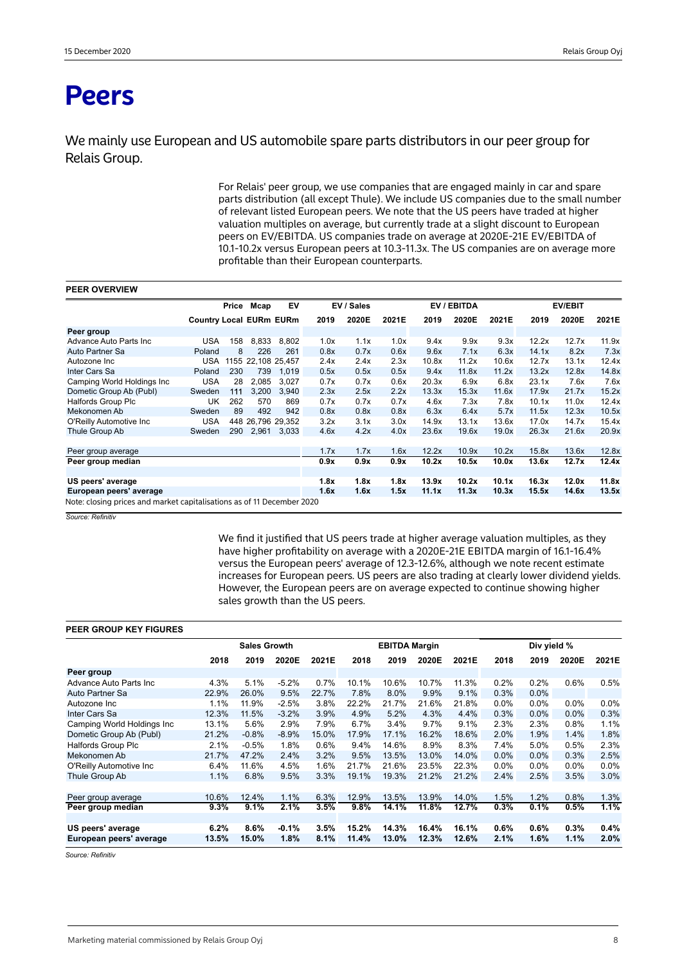# **Peers**

We mainly use European and US automobile spare parts distributors in our peer group for Relais Group.

> For Relais' peer group, we use companies that are engaged mainly in car and spare parts distribution (all except Thule). We include US companies due to the small number of relevant listed European peers. We note that the US peers have traded at higher valuation multiples on average, but currently trade at a slight discount to European peers on EV/EBITDA. US companies trade on average at 2020E-21E EV/EBITDA of 10.1-10.2x versus European peers at 10.3-11.3x. The US companies are on average more profitable than their European counterparts.

| <b>PEER OVERVIEW</b>                                                   |                                |       |                    |       |      |            |       |             |       |       |       |                |       |
|------------------------------------------------------------------------|--------------------------------|-------|--------------------|-------|------|------------|-------|-------------|-------|-------|-------|----------------|-------|
|                                                                        |                                | Price | Mcap               | EV    |      | EV / Sales |       | EV / EBITDA |       |       |       | <b>EV/EBIT</b> |       |
|                                                                        | <b>Country Local EURm EURm</b> |       |                    |       | 2019 | 2020E      | 2021E | 2019        | 2020E | 2021E | 2019  | 2020E          | 2021E |
| Peer group                                                             |                                |       |                    |       |      |            |       |             |       |       |       |                |       |
| Advance Auto Parts Inc.                                                | <b>USA</b>                     | 158   | 8,833              | 8,802 | 1.0x | 1.1x       | 1.0x  | 9.4x        | 9.9x  | 9.3x  | 12.2x | 12.7x          | 11.9x |
| Auto Partner Sa                                                        | Poland                         | 8     | 226                | 261   | 0.8x | 0.7x       | 0.6x  | 9.6x        | 7.1x  | 6.3x  | 14.1x | 8.2x           | 7.3x  |
| Autozone Inc                                                           | <b>USA</b>                     |       | 1155 22.108 25.457 |       | 2.4x | 2.4x       | 2.3x  | 10.8x       | 11.2x | 10.6x | 12.7x | 13.1x          | 12.4x |
| Inter Cars Sa                                                          | Poland                         | 230   | 739                | 1,019 | 0.5x | 0.5x       | 0.5x  | 9.4x        | 11.8x | 11.2x | 13.2x | 12.8x          | 14.8x |
| Camping World Holdings Inc                                             | <b>USA</b>                     | 28    | 2,085              | 3,027 | 0.7x | 0.7x       | 0.6x  | 20.3x       | 6.9x  | 6.8x  | 23.1x | 7.6x           | 7.6x  |
| Dometic Group Ab (Publ)                                                | Sweden                         | 111   | 3,200              | 3.940 | 2.3x | 2.5x       | 2.2x  | 13.3x       | 15.3x | 11.6x | 17.9x | 21.7x          | 15.2x |
| Halfords Group Plc                                                     | UK                             | 262   | 570                | 869   | 0.7x | 0.7x       | 0.7x  | 4.6x        | 7.3x  | 7.8x  | 10.1x | 11.0x          | 12.4x |
| Mekonomen Ab                                                           | Sweden                         | 89    | 492                | 942   | 0.8x | 0.8x       | 0.8x  | 6.3x        | 6.4x  | 5.7x  | 11.5x | 12.3x          | 10.5x |
| O'Reilly Automotive Inc                                                | <b>USA</b>                     |       | 448 26.796 29.352  |       | 3.2x | 3.1x       | 3.0x  | 14.9x       | 13.1x | 13.6x | 17.0x | 14.7x          | 15.4x |
| Thule Group Ab                                                         | Sweden                         | 290   | 2,961              | 3,033 | 4.6x | 4.2x       | 4.0x  | 23.6x       | 19.6x | 19.0x | 26.3x | 21.6x          | 20.9x |
|                                                                        |                                |       |                    |       |      |            |       |             |       |       |       |                |       |
| Peer group average                                                     |                                |       |                    |       | 1.7x | 1.7x       | 1.6x  | 12.2x       | 10.9x | 10.2x | 15.8x | 13.6x          | 12.8x |
| Peer group median                                                      |                                |       |                    |       | 0.9x | 0.9x       | 0.9x  | 10.2x       | 10.5x | 10.0x | 13.6x | 12.7x          | 12.4x |
| US peers' average                                                      |                                |       |                    |       | 1.8x | 1.8x       | 1.8x  | 13.9x       | 10.2x | 10.1x | 16.3x | 12.0x          | 11.8x |
| European peers' average                                                |                                |       |                    |       | 1.6x | 1.6x       | 1.5x  | 11.1x       | 11.3x | 10.3x | 15.5x | 14.6x          | 13.5x |
| Note: closing prices and market capitalisations as of 11 December 2020 |                                |       |                    |       |      |            |       |             |       |       |       |                |       |

*Source: Refinitiv* 

We find it justified that US peers trade at higher average valuation multiples, as they have higher profitability on average with a 2020E-21E EBITDA margin of 16.1-16.4% versus the European peers' average of 12.3-12.6%, although we note recent estimate increases for European peers. US peers are also trading at clearly lower dividend yields. However, the European peers are on average expected to continue showing higher sales growth than the US peers.

#### **PEER GROUP KEY FIGURES**

|                            |       | <b>Sales Growth</b> |         |         |       | <b>EBITDA Margin</b> |       |       |      | Div yield % |       |         |
|----------------------------|-------|---------------------|---------|---------|-------|----------------------|-------|-------|------|-------------|-------|---------|
|                            | 2018  | 2019                | 2020E   | 2021E   | 2018  | 2019                 | 2020E | 2021E | 2018 | 2019        | 2020E | 2021E   |
| Peer group                 |       |                     |         |         |       |                      |       |       |      |             |       |         |
| Advance Auto Parts Inc     | 4.3%  | 5.1%                | $-5.2%$ | 0.7%    | 10.1% | 10.6%                | 10.7% | 11.3% | 0.2% | 0.2%        | 0.6%  | 0.5%    |
| Auto Partner Sa            | 22.9% | 26.0%               | 9.5%    | 22.7%   | 7.8%  | 8.0%                 | 9.9%  | 9.1%  | 0.3% | 0.0%        |       |         |
| Autozone Inc               | 1.1%  | 11.9%               | $-2.5%$ | 3.8%    | 22.2% | 21.7%                | 21.6% | 21.8% | 0.0% | 0.0%        | 0.0%  | $0.0\%$ |
| Inter Cars Sa              | 12.3% | 11.5%               | $-3.2%$ | 3.9%    | 4.9%  | 5.2%                 | 4.3%  | 4.4%  | 0.3% | 0.0%        | 0.0%  | 0.3%    |
| Camping World Holdings Inc | 13.1% | 5.6%                | 2.9%    | 7.9%    | 6.7%  | 3.4%                 | 9.7%  | 9.1%  | 2.3% | 2.3%        | 0.8%  | 1.1%    |
| Dometic Group Ab (Publ)    | 21.2% | $-0.8%$             | $-8.9%$ | 15.0%   | 17.9% | 17.1%                | 16.2% | 18.6% | 2.0% | 1.9%        | 1.4%  | 1.8%    |
| <b>Halfords Group Plc</b>  | 2.1%  | $-0.5%$             | 1.8%    | 0.6%    | 9.4%  | 14.6%                | 8.9%  | 8.3%  | 7.4% | 5.0%        | 0.5%  | 2.3%    |
| Mekonomen Ab               | 21.7% | 47.2%               | 2.4%    | 3.2%    | 9.5%  | 13.5%                | 13.0% | 14.0% | 0.0% | 0.0%        | 0.3%  | 2.5%    |
| O'Reilly Automotive Inc.   | 6.4%  | 11.6%               | 4.5%    | 1.6%    | 21.7% | 21.6%                | 23.5% | 22.3% | 0.0% | 0.0%        | 0.0%  | 0.0%    |
| Thule Group Ab             | 1.1%  | 6.8%                | 9.5%    | 3.3%    | 19.1% | 19.3%                | 21.2% | 21.2% | 2.4% | 2.5%        | 3.5%  | $3.0\%$ |
|                            |       |                     |         |         |       |                      |       |       |      |             |       |         |
| Peer group average         | 10.6% | 12.4%               | 1.1%    | 6.3%    | 12.9% | 13.5%                | 13.9% | 14.0% | 1.5% | 1.2%        | 0.8%  | 1.3%    |
| Peer group median          | 9.3%  | 9.1%                | 2.1%    | $3.5\%$ | 9.8%  | 14.1%                | 11.8% | 12.7% | 0.3% | 0.1%        | 0.5%  | 1.1%    |
|                            |       |                     |         |         |       |                      |       |       |      |             |       |         |
| US peers' average          | 6.2%  | 8.6%                | $-0.1%$ | 3.5%    | 15.2% | 14.3%                | 16.4% | 16.1% | 0.6% | 0.6%        | 0.3%  | $0.4\%$ |
| European peers' average    | 13.5% | 15.0%               | 1.8%    | 8.1%    | 11.4% | 13.0%                | 12.3% | 12.6% | 2.1% | 1.6%        | 1.1%  | 2.0%    |
|                            |       |                     |         |         |       |                      |       |       |      |             |       |         |

*Source: Refinitiv*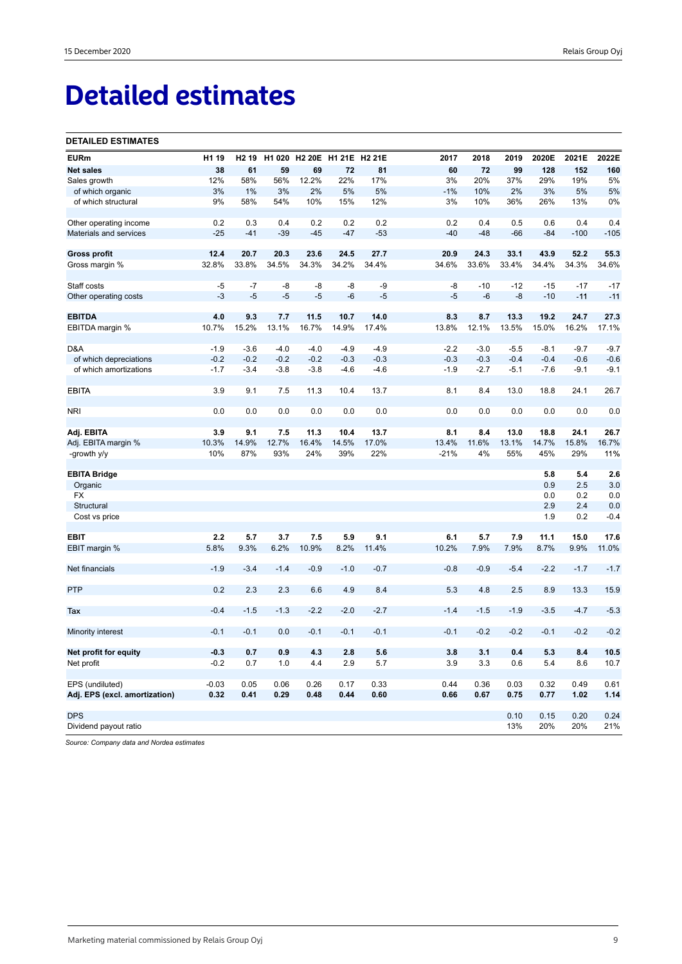# **Detailed estimates**

#### **DETAILED ESTIMATES**

| <b>EURm</b>                                      | H1 19            | H <sub>2</sub> 19 | H1 020           |        | H2 20E H1 21E H2 21E |                  | 2017             | 2018             | 2019             | 2020E            | 2021E            | 2022E  |
|--------------------------------------------------|------------------|-------------------|------------------|--------|----------------------|------------------|------------------|------------------|------------------|------------------|------------------|--------|
| <b>Net sales</b>                                 | 38               | 61                | 59               | 69     | 72                   | 81               | 60               | 72               | 99               | 128              | 152              | 160    |
| Sales growth                                     | 12%              | 58%               | 56%              | 12.2%  | 22%                  | 17%              | 3%               | 20%              | 37%              | 29%              | 19%              | 5%     |
| of which organic                                 | 3%               | 1%                | 3%               | 2%     | 5%                   | 5%               | $-1%$            | 10%              | 2%               | 3%               | 5%               | 5%     |
| of which structural                              | 9%               | 58%               | 54%              | 10%    | 15%                  | 12%              | 3%               | 10%              | 36%              | 26%              | 13%              | 0%     |
|                                                  |                  |                   |                  |        |                      |                  |                  |                  |                  |                  |                  |        |
| Other operating income                           | 0.2              | 0.3               | 0.4              | 0.2    | 0.2                  | 0.2              | 0.2              | 0.4              | 0.5              | 0.6              | 0.4              | 0.4    |
| Materials and services                           | $-25$            | $-41$             | $-39$            | $-45$  | $-47$                | $-53$            | $-40$            | $-48$            | $-66$            | $-84$            | $-100$           | $-105$ |
|                                                  |                  |                   |                  |        |                      |                  |                  |                  |                  |                  |                  |        |
| <b>Gross profit</b>                              | 12.4             | 20.7              | 20.3             | 23.6   | 24.5                 | 27.7             | 20.9             | 24.3             | 33.1             | 43.9             | 52.2             | 55.3   |
| Gross margin %                                   | 32.8%            | 33.8%             | 34.5%            | 34.3%  | 34.2%                | 34.4%            | 34.6%            | 33.6%            | 33.4%            | 34.4%            | 34.3%            | 34.6%  |
|                                                  |                  |                   |                  |        |                      |                  |                  |                  |                  |                  |                  |        |
| Staff costs                                      | -5               | $-7$              | -8               | -8     | -8                   | -9               | -8               | $-10$            | $-12$            | $-15$            | $-17$            | $-17$  |
| Other operating costs                            | $-3$             | $-5$              | $-5$             | $-5$   | -6                   | $-5$             | $-5$             | $-6$             | $-8$             | $-10$            | $-11$            | $-11$  |
|                                                  |                  |                   |                  |        |                      |                  |                  |                  |                  |                  |                  |        |
| <b>EBITDA</b>                                    | 4.0              | 9.3               | 7.7              | 11.5   | 10.7                 | 14.0             | 8.3              | 8.7              | 13.3             | 19.2             | 24.7             | 27.3   |
| EBITDA margin %                                  | 10.7%            | 15.2%             | 13.1%            | 16.7%  | 14.9%                | 17.4%            | 13.8%            | 12.1%            | 13.5%            | 15.0%            | 16.2%            | 17.1%  |
|                                                  |                  |                   |                  | $-4.0$ | $-4.9$               |                  |                  |                  |                  |                  |                  | $-9.7$ |
| D&A                                              | $-1.9$<br>$-0.2$ | $-3.6$<br>$-0.2$  | $-4.0$<br>$-0.2$ | $-0.2$ | $-0.3$               | $-4.9$<br>$-0.3$ | $-2.2$<br>$-0.3$ | $-3.0$<br>$-0.3$ | $-5.5$<br>$-0.4$ | $-8.1$<br>$-0.4$ | $-9.7$<br>$-0.6$ | $-0.6$ |
| of which depreciations<br>of which amortizations |                  | $-3.4$            | $-3.8$           | $-3.8$ |                      |                  |                  |                  |                  |                  | $-9.1$           | $-9.1$ |
|                                                  | $-1.7$           |                   |                  |        | $-4.6$               | $-4.6$           | $-1.9$           | $-2.7$           | $-5.1$           | $-7.6$           |                  |        |
| <b>EBITA</b>                                     | 3.9              | 9.1               | 7.5              | 11.3   | 10.4                 | 13.7             | 8.1              | 8.4              | 13.0             | 18.8             | 24.1             | 26.7   |
|                                                  |                  |                   |                  |        |                      |                  |                  |                  |                  |                  |                  |        |
| <b>NRI</b>                                       | 0.0              | 0.0               | 0.0              | 0.0    | 0.0                  | 0.0              | 0.0              | 0.0              | 0.0              | 0.0              | 0.0              | 0.0    |
|                                                  |                  |                   |                  |        |                      |                  |                  |                  |                  |                  |                  |        |
| Adj. EBITA                                       | 3.9              | 9.1               | 7.5              | 11.3   | 10.4                 | 13.7             | 8.1              | 8.4              | 13.0             | 18.8             | 24.1             | 26.7   |
| Adj. EBITA margin %                              | 10.3%            | 14.9%             | 12.7%            | 16.4%  | 14.5%                | 17.0%            | 13.4%            | 11.6%            | 13.1%            | 14.7%            | 15.8%            | 16.7%  |
| -growth y/y                                      | 10%              | 87%               | 93%              | 24%    | 39%                  | 22%              | $-21%$           | 4%               | 55%              | 45%              | 29%              | 11%    |
|                                                  |                  |                   |                  |        |                      |                  |                  |                  |                  |                  |                  |        |
| <b>EBITA Bridge</b>                              |                  |                   |                  |        |                      |                  |                  |                  |                  | 5.8              | 5.4              | 2.6    |
| Organic                                          |                  |                   |                  |        |                      |                  |                  |                  |                  | 0.9              | 2.5              | 3.0    |
| <b>FX</b>                                        |                  |                   |                  |        |                      |                  |                  |                  |                  | 0.0              | 0.2              | 0.0    |
| Structural                                       |                  |                   |                  |        |                      |                  |                  |                  |                  | 2.9              | 2.4              | 0.0    |
| Cost vs price                                    |                  |                   |                  |        |                      |                  |                  |                  |                  | 1.9              | 0.2              | $-0.4$ |
|                                                  |                  |                   |                  |        |                      |                  |                  |                  |                  |                  |                  |        |
| EBIT                                             | 2.2              | 5.7               | 3.7              | 7.5    | 5.9                  | 9.1              | 6.1              | 5.7              | 7.9              | 11.1             | 15.0             | 17.6   |
| EBIT margin %                                    | 5.8%             | 9.3%              | 6.2%             | 10.9%  | 8.2%                 | 11.4%            | 10.2%            | 7.9%             | 7.9%             | 8.7%             | 9.9%             | 11.0%  |
|                                                  |                  |                   |                  |        |                      |                  |                  |                  |                  |                  |                  |        |
| Net financials                                   | $-1.9$           | $-3.4$            | $-1.4$           | $-0.9$ | $-1.0$               | $-0.7$           | $-0.8$           | $-0.9$           | $-5.4$           | $-2.2$           | $-1.7$           | $-1.7$ |
|                                                  |                  |                   |                  |        |                      |                  |                  |                  |                  |                  |                  |        |
| <b>PTP</b>                                       | 0.2              | 2.3               | 2.3              | 6.6    | 4.9                  | 8.4              | 5.3              | 4.8              | 2.5              | 8.9              | 13.3             | 15.9   |
| Tax                                              | $-0.4$           | $-1.5$            | $-1.3$           | $-2.2$ | $-2.0$               | $-2.7$           | $-1.4$           | $-1.5$           | $-1.9$           | $-3.5$           | $-4.7$           | $-5.3$ |
|                                                  |                  |                   |                  |        |                      |                  |                  |                  |                  |                  |                  |        |
| Minority interest                                | $-0.1$           | $-0.1$            | 0.0              | $-0.1$ | $-0.1$               | $-0.1$           | $-0.1$           | $-0.2$           | $-0.2$           | $-0.1$           | $-0.2$           | $-0.2$ |
|                                                  |                  |                   |                  |        |                      |                  |                  |                  |                  |                  |                  |        |
| Net profit for equity                            | $-0.3$           | 0.7               | 0.9              | 4.3    | 2.8                  | 5.6              | 3.8              | 3.1              | 0.4              | 5.3              | 8.4              | 10.5   |
| Net profit                                       | $-0.2$           | 0.7               | 1.0              | 4.4    | 2.9                  | 5.7              | 3.9              | 3.3              | 0.6              | 5.4              | 8.6              | 10.7   |
|                                                  |                  |                   |                  |        |                      |                  |                  |                  |                  |                  |                  |        |
| EPS (undiluted)                                  | $-0.03$          | 0.05              | 0.06             | 0.26   | 0.17                 | 0.33             | 0.44             | 0.36             | 0.03             | 0.32             | 0.49             | 0.61   |
| Adj. EPS (excl. amortization)                    | 0.32             | 0.41              | 0.29             | 0.48   | 0.44                 | 0.60             | 0.66             | 0.67             | 0.75             | 0.77             | 1.02             | 1.14   |
|                                                  |                  |                   |                  |        |                      |                  |                  |                  |                  |                  |                  |        |
| <b>DPS</b>                                       |                  |                   |                  |        |                      |                  |                  |                  | 0.10             | 0.15             | 0.20             | 0.24   |
| Dividend payout ratio                            |                  |                   |                  |        |                      |                  |                  |                  | 13%              | 20%              | 20%              | 21%    |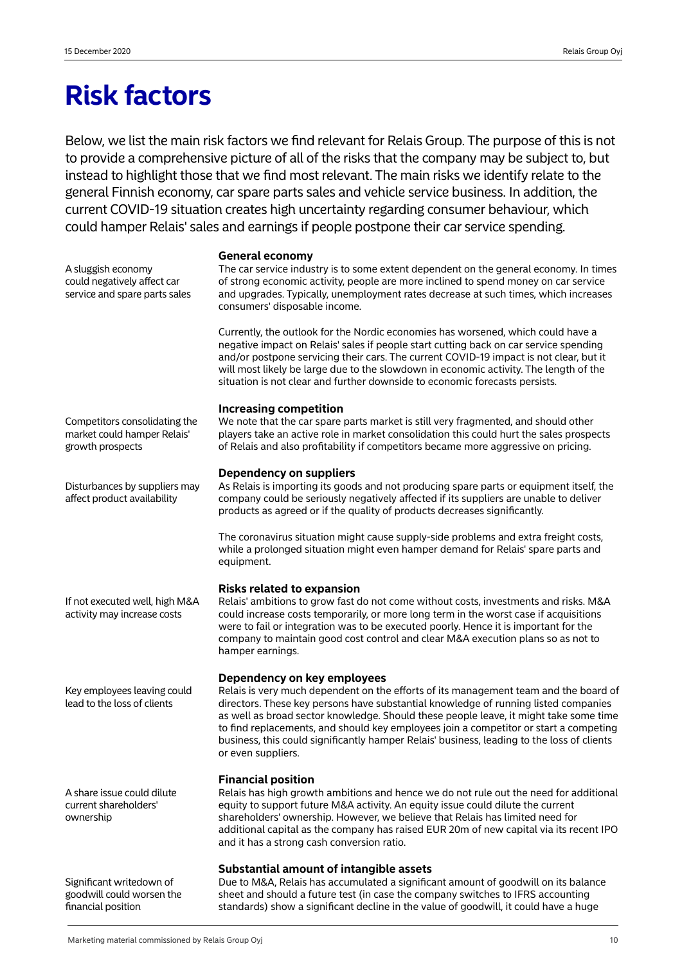# **Risk factors**

Below, we list the main risk factors we find relevant for Relais Group. The purpose of this is not to provide a comprehensive picture of all of the risks that the company may be subject to, but instead to highlight those that we find most relevant. The main risks we identify relate to the general Finnish economy, car spare parts sales and vehicle service business. In addition, the current COVID-19 situation creates high uncertainty regarding consumer behaviour, which could hamper Relais' sales and earnings if people postpone their car service spending.

### **General economy**

The car service industry is to some extent dependent on the general economy. In times of strong economic activity, people are more inclined to spend money on car service and upgrades. Typically, unemployment rates decrease at such times, which increases consumers' disposable income.

Currently, the outlook for the Nordic economies has worsened, which could have a negative impact on Relais' sales if people start cutting back on car service spending and/or postpone servicing their cars. The current COVID-19 impact is not clear, but it will most likely be large due to the slowdown in economic activity. The length of the situation is not clear and further downside to economic forecasts persists.

# **Increasing competition**

We note that the car spare parts market is still very fragmented, and should other players take an active role in market consolidation this could hurt the sales prospects of Relais and also profitability if competitors became more aggressive on pricing.

# **Dependency on suppliers**

As Relais is importing its goods and not producing spare parts or equipment itself, the company could be seriously negatively affected if its suppliers are unable to deliver products as agreed or if the quality of products decreases significantly.

The coronavirus situation might cause supply-side problems and extra freight costs, while a prolonged situation might even hamper demand for Relais' spare parts and equipment.

# **Risks related to expansion**

Relais' ambitions to grow fast do not come without costs, investments and risks. M&A could increase costs temporarily, or more long term in the worst case if acquisitions were to fail or integration was to be executed poorly. Hence it is important for the company to maintain good cost control and clear M&A execution plans so as not to hamper earnings.

# **Dependency on key employees**

Relais is very much dependent on the efforts of its management team and the board of directors. These key persons have substantial knowledge of running listed companies as well as broad sector knowledge. Should these people leave, it might take some time to find replacements, and should key employees join a competitor or start a competing business, this could significantly hamper Relais' business, leading to the loss of clients or even suppliers.

# **Financial position**

Relais has high growth ambitions and hence we do not rule out the need for additional equity to support future M&A activity. An equity issue could dilute the current shareholders' ownership. However, we believe that Relais has limited need for additional capital as the company has raised EUR 20m of new capital via its recent IPO and it has a strong cash conversion ratio.

# **Substantial amount of intangible assets**

Due to M&A, Relais has accumulated a significant amount of goodwill on its balance sheet and should a future test (in case the company switches to IFRS accounting standards) show a significant decline in the value of goodwill, it could have a huge

Competitors consolidating the market could hamper Relais' growth prospects

A sluggish economy could negatively affect car service and spare parts sales

Disturbances by suppliers may affect product availability

If not executed well, high M&A activity may increase costs

Key employees leaving could lead to the loss of clients

A share issue could dilute current shareholders' ownership

Significant writedown of goodwill could worsen the financial position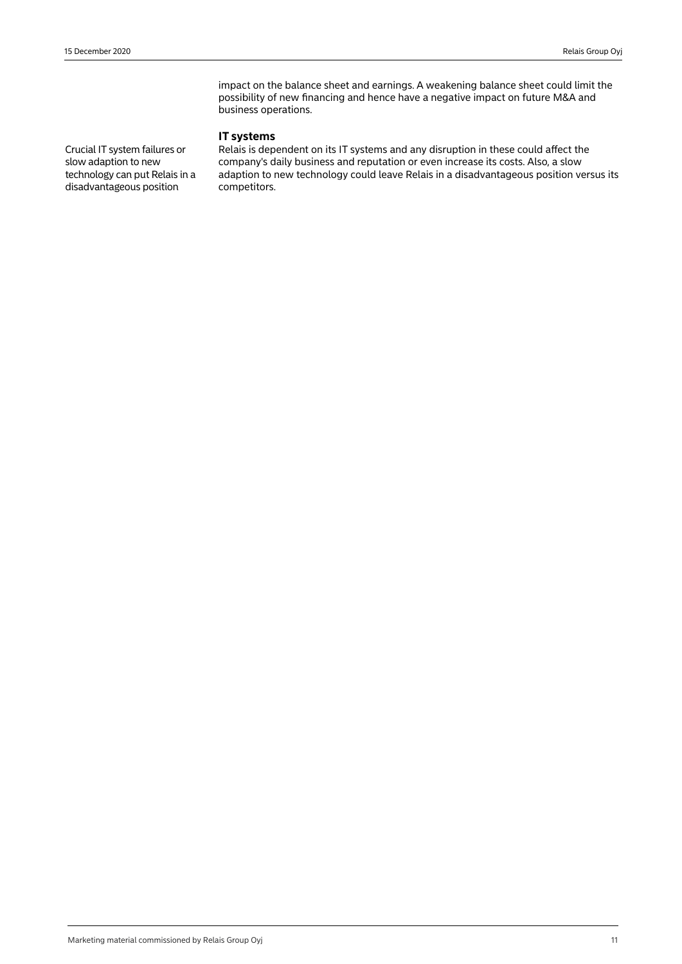impact on the balance sheet and earnings. A weakening balance sheet could limit the possibility of new financing and hence have a negative impact on future M&A and business operations.

# **IT systems**

Relais is dependent on its IT systems and any disruption in these could affect the company's daily business and reputation or even increase its costs. Also, a slow adaption to new technology could leave Relais in a disadvantageous position versus its competitors.

Crucial IT system failures or slow adaption to new technology can put Relais in a disadvantageous position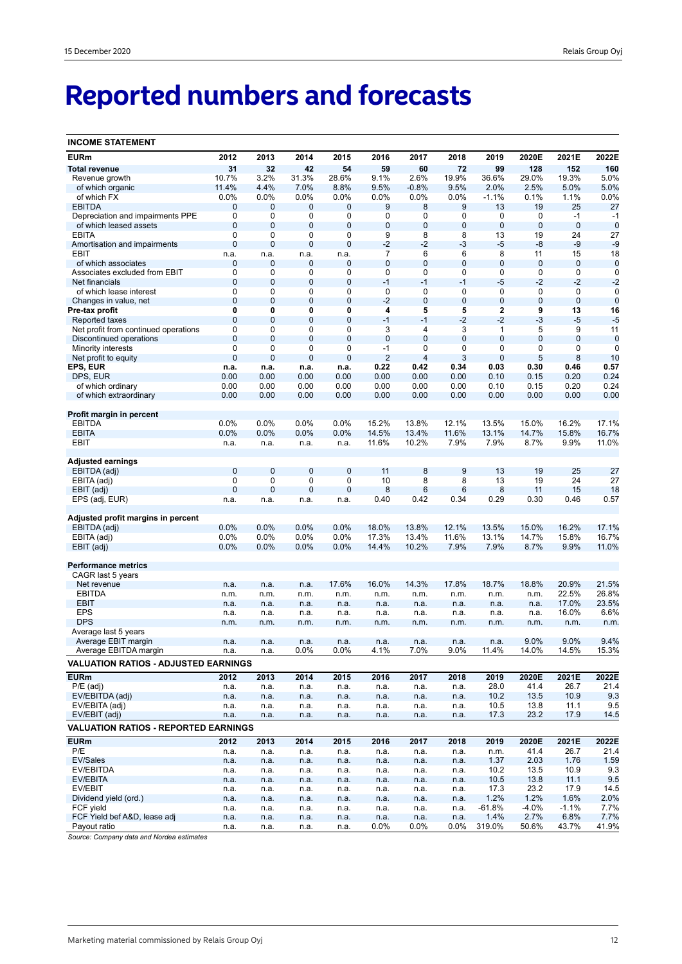# **Reported numbers and forecasts**

| <b>INCOME STATEMENT</b>                     |                  |                |                  |             |                |                |              |                |                |                     |                     |
|---------------------------------------------|------------------|----------------|------------------|-------------|----------------|----------------|--------------|----------------|----------------|---------------------|---------------------|
| <b>EURm</b>                                 | 2012             | 2013           | 2014             | 2015        | 2016           | 2017           | 2018         | 2019           | 2020E          | 2021E               | 2022E               |
| <b>Total revenue</b>                        | 31               | 32             | 42               | 54          | 59             | 60             | 72           | 99             | 128            | 152                 | 160                 |
| Revenue growth                              | 10.7%            | 3.2%           | 31.3%            | 28.6%       | 9.1%           | 2.6%           | 19.9%        | 36.6%          | 29.0%          | 19.3%               | 5.0%                |
| of which organic                            | 11.4%            | 4.4%           | 7.0%             | 8.8%        | 9.5%           | $-0.8%$        | 9.5%         | 2.0%           | 2.5%           | 5.0%                | 5.0%                |
| of which FX                                 | 0.0%             | 0.0%           | 0.0%             | 0.0%        | 0.0%           | 0.0%           | 0.0%         | $-1.1%$        | 0.1%           | 1.1%                | 0.0%                |
| <b>EBITDA</b>                               | 0                | $\mathbf 0$    | 0                | 0           | 9              | 8              | 9            | 13             | 19             | 25                  | 27                  |
| Depreciation and impairments PPE            | 0                | 0              | 0                | 0           | 0              | 0              | 0            | 0              | 0              | $-1$                | -1                  |
| of which leased assets                      | $\mathbf{0}$     | $\mathbf{0}$   | 0                | 0           | 0              | $\bf 0$        | 0            | $\mathbf 0$    | $\bf 0$        | $\mathbf 0$         | $\mathbf 0$         |
| <b>EBITA</b>                                | $\mathbf 0$      | 0              | 0                | 0           | 9              | 8              | 8            | 13             | 19             | 24                  | 27                  |
| Amortisation and impairments                | $\mathbf 0$      | $\mathbf 0$    | $\mathbf 0$      | 0           | $-2$           | $-2$           | $-3$         | $-5$           | -8             | $-9$                | $-9$                |
| EBIT                                        | n.a.             | n.a.           | n.a.             | n.a.        | 7              | 6              | 6            | 8              | 11             | 15                  | 18                  |
| of which associates                         | 0                | 0              | 0                | 0           | $\overline{0}$ | $\bf 0$        | $\mathbf{0}$ | $\mathbf 0$    | 0              | 0                   | $\mathbf 0$         |
| Associates excluded from EBIT               | $\mathbf 0$      | 0<br>0         | 0<br>$\mathbf 0$ | 0<br>0      | 0<br>$-1$      | 0<br>$-1$      | 0<br>$-1$    | 0<br>$-5$      | 0<br>$-2$      | $\mathbf 0$<br>$-2$ | 0                   |
| Net financials<br>of which lease interest   | $\mathbf 0$<br>0 | 0              | 0                | 0           | 0              | 0              | 0            | 0              | 0              | $\mathbf 0$         | $-2$<br>$\mathbf 0$ |
| Changes in value, net                       | $\mathbf 0$      | $\mathbf 0$    | $\mathbf 0$      | $\mathbf 0$ | $-2$           | $\mathbf 0$    | 0            | $\mathbf 0$    | $\mathbf 0$    | $\mathbf 0$         | $\mathbf 0$         |
| Pre-tax profit                              | 0                | 0              | 0                | 0           | 4              | 5              | 5            | $\mathbf 2$    | 9              | 13                  | 16                  |
| Reported taxes                              | $\mathbf{0}$     | $\mathbf 0$    | $\mathbf 0$      | 0           | $-1$           | $-1$           | $-2$         | $-2$           | $-3$           | $-5$                | $-5$                |
| Net profit from continued operations        | 0                | 0              | 0                | 0           | 3              | 4              | 3            | $\mathbf{1}$   | 5              | 9                   | 11                  |
| Discontinued operations                     | $\mathbf{0}$     | $\overline{0}$ | $\overline{0}$   | $\mathbf 0$ | $\overline{0}$ | $\overline{0}$ | $\mathbf 0$  | $\overline{0}$ | $\overline{0}$ | $\overline{0}$      | $\mathbf 0$         |
| Minority interests                          | $\mathbf 0$      | 0              | 0                | 0           | $-1$           | 0              | 0            | 0              | 0              | 0                   | 0                   |
| Net profit to equity                        | $\overline{0}$   | $\overline{0}$ | $\mathbf 0$      | 0           | $\overline{2}$ | 4              | 3            | 0              | 5              | 8                   | 10                  |
| EPS, EUR                                    | n.a.             | n.a.           | n.a.             | n.a.        | 0.22           | 0.42           | 0.34         | 0.03           | 0.30           | 0.46                | 0.57                |
| DPS, EUR                                    | 0.00             | 0.00           | 0.00             | 0.00        | 0.00           | 0.00           | 0.00         | 0.10           | 0.15           | 0.20                | 0.24                |
| of which ordinary                           | 0.00             | 0.00           | 0.00             | 0.00        | 0.00           | 0.00           | 0.00         | 0.10           | 0.15           | 0.20                | 0.24                |
| of which extraordinary                      | 0.00             | 0.00           | 0.00             | 0.00        | 0.00           | 0.00           | 0.00         | 0.00           | 0.00           | 0.00                | 0.00                |
|                                             |                  |                |                  |             |                |                |              |                |                |                     |                     |
| Profit margin in percent                    |                  |                |                  |             |                |                |              |                |                |                     |                     |
| <b>EBITDA</b>                               | 0.0%             | 0.0%           | 0.0%             | 0.0%        | 15.2%          | 13.8%          | 12.1%        | 13.5%          | 15.0%          | 16.2%               | 17.1%               |
| <b>EBITA</b>                                | 0.0%             | 0.0%           | 0.0%             | 0.0%        | 14.5%          | 13.4%          | 11.6%        | 13.1%          | 14.7%          | 15.8%               | 16.7%               |
| EBIT                                        | n.a.             | n.a.           | n.a.             | n.a.        | 11.6%          | 10.2%          | 7.9%         | 7.9%           | 8.7%           | 9.9%                | 11.0%               |
| <b>Adjusted earnings</b>                    |                  |                |                  |             |                |                |              |                |                |                     |                     |
| EBITDA (adj)                                | $\mathbf{0}$     | $\mathbf 0$    | $\bf{0}$         | 0           | 11             | 8              | 9            | 13             | 19             | 25                  | 27                  |
| EBITA (adj)                                 | $\mathbf 0$      | 0              | 0                | 0           | 10             | 8              | 8            | 13             | 19             | 24                  | 27                  |
| EBIT (adj)                                  | $\overline{0}$   | $\overline{0}$ | $\mathbf 0$      | 0           | 8              | 6              | 6            | 8              | 11             | 15                  | 18                  |
| EPS (adj, EUR)                              | n.a.             | n.a.           | n.a.             | n.a.        | 0.40           | 0.42           | 0.34         | 0.29           | 0.30           | 0.46                | 0.57                |
|                                             |                  |                |                  |             |                |                |              |                |                |                     |                     |
| Adjusted profit margins in percent          |                  |                |                  |             |                |                |              |                |                |                     |                     |
| EBITDA (adj)                                | 0.0%             | 0.0%           | 0.0%             | 0.0%        | 18.0%          | 13.8%          | 12.1%        | 13.5%          | 15.0%          | 16.2%               | 17.1%               |
| EBITA (adj)                                 | 0.0%             | 0.0%           | 0.0%             | 0.0%        | 17.3%          | 13.4%          | 11.6%        | 13.1%          | 14.7%          | 15.8%               | 16.7%               |
| EBIT (adj)                                  | 0.0%             | 0.0%           | 0.0%             | 0.0%        | 14.4%          | 10.2%          | 7.9%         | 7.9%           | 8.7%           | 9.9%                | 11.0%               |
|                                             |                  |                |                  |             |                |                |              |                |                |                     |                     |
| <b>Performance metrics</b>                  |                  |                |                  |             |                |                |              |                |                |                     |                     |
| CAGR last 5 years                           |                  |                |                  |             |                |                |              |                |                |                     |                     |
| Net revenue                                 | n.a.             | n.a.           | n.a.             | 17.6%       | 16.0%          | 14.3%          | 17.8%        | 18.7%          | 18.8%          | 20.9%               | 21.5%               |
| <b>EBITDA</b>                               | n.m.             | n.m.           | n.m.             | n.m.        | n.m.           | n.m.           | n.m.         | n.m.           | n.m.           | 22.5%               | 26.8%               |
| <b>EBIT</b><br><b>EPS</b>                   | n.a.             | n.a.           | n.a.             | n.a.        | n.a.           | n.a.           | n.a.         | n.a.           | n.a.           | 17.0%               | 23.5%               |
| <b>DPS</b>                                  | n.a.             | n.a.           | n.a.             | n.a.        | n.a.           | n.a.           | n.a.         | n.a.           | n.a.<br>n.m.   | 16.0%<br>n.m.       | 6.6%                |
| Average last 5 years                        | n.m.             | n.m.           | n.m.             | n.m.        | n.m.           | n.m.           | n.m.         | n.m.           |                |                     | n.m.                |
| Average EBIT margin                         | n.a.             | n.a.           | n.a.             | n.a.        | n.a.           | n.a.           | n.a.         | n.a.           | 9.0%           | 9.0%                | 9.4%                |
| Average EBITDA margin                       | n.a.             | n.a.           | $0.0\%$          | 0.0%        | 4.1%           | 7.0%           | 9.0%         | 11.4%          | 14.0%          | 14.5%               | 15.3%               |
| <b>VALUATION RATIOS - ADJUSTED EARNINGS</b> |                  |                |                  |             |                |                |              |                |                |                     |                     |
|                                             |                  |                |                  |             |                |                |              |                |                |                     |                     |
| <b>EURm</b>                                 | 2012             | 2013           | 2014             | 2015        | 2016           | 2017           | 2018         | 2019           | 2020E          | 2021E               | 2022E               |
| $P/E$ (adj)                                 | n.a.             | n.a.           | n.a.             | n.a.        | n.a.           | n.a.           | n.a.         | 28.0           | 41.4           | 26.7                | 21.4                |
| EV/EBITDA (adj)                             | n.a.             | n.a.           | n.a.             | n.a.        | n.a.           | n.a.           | n.a.         | 10.2           | 13.5           | 10.9                | 9.3                 |
| EV/EBITA (adj)                              | n.a.             | n.a.           | n.a.             | n.a.        | n.a.           | n.a.           | n.a.         | 10.5           | 13.8           | 11.1                | 9.5                 |
| EV/EBIT (adj)                               | n.a.             | n.a.           | n.a.             | n.a.        | n.a.           | n.a.           | n.a.         | 17.3           | 23.2           | 17.9                | 14.5                |
| <b>VALUATION RATIOS - REPORTED EARNINGS</b> |                  |                |                  |             |                |                |              |                |                |                     |                     |
| <b>EURm</b>                                 | 2012             | 2013           | 2014             | 2015        | 2016           | 2017           | 2018         | 2019           | 2020E          | 2021E               | 2022E               |
| P/E                                         | n.a.             | n.a.           | n.a.             | n.a.        | n.a.           | n.a.           | n.a.         | n.m.           | 41.4           | 26.7                | 21.4                |
| EV/Sales                                    | n.a.             | n.a.           | n.a.             | n.a.        | n.a.           | n.a.           | n.a.         | 1.37           | 2.03           | 1.76                | 1.59                |
| EV/EBITDA                                   | n.a.             | n.a.           | n.a.             | n.a.        | n.a.           | n.a.           | n.a.         | 10.2           | 13.5           | 10.9                | 9.3                 |
| EV/EBITA                                    | n.a.             | n.a.           | n.a.             | n.a.        | n.a.           | n.a.           | n.a.         | 10.5           | 13.8           | 11.1                | 9.5                 |
| EV/EBIT                                     | n.a.             | n.a.           | n.a.             | n.a.        | n.a.           | n.a.           | n.a.         | 17.3           | 23.2           | 17.9                | 14.5                |
| Dividend yield (ord.)                       | n.a.             | n.a.           | n.a.             | n.a.        | n.a.           | n.a.           | n.a.         | 1.2%           | 1.2%           | 1.6%                | 2.0%                |
| FCF yield                                   | n.a.             | n.a.           | n.a.             | n.a.        | n.a.           | n.a.           | n.a.         | $-61.8%$       | $-4.0%$        | $-1.1\%$            | 7.7%                |
| FCF Yield bef A&D, lease adj                | n.a.             | n.a.           | n.a.             | n.a.        | n.a.           | n.a.           | n.a.         | 1.4%           | 2.7%           | 6.8%                | 7.7%                |
| Payout ratio                                | n.a.             | n.a.           | n.a.             | n.a.        | 0.0%           | $0.0\%$        | $0.0\%$      | 319.0%         | 50.6%          | 43.7%               | 41.9%               |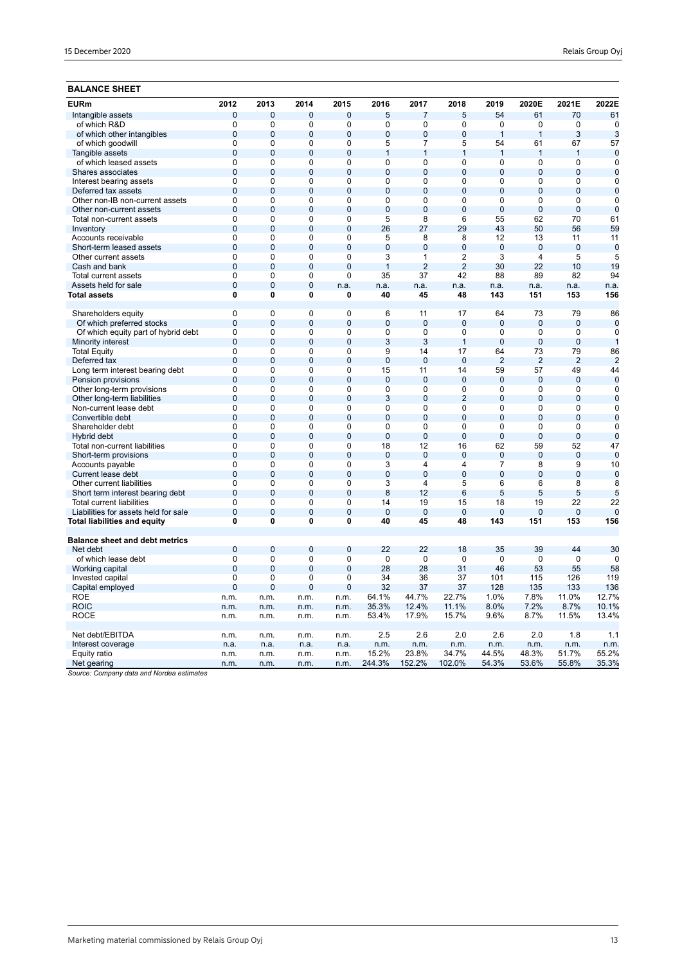# **BALANCE SHEET**

| <b>EURm</b>                                            | 2012                       | 2013                          | 2014                          | 2015                | 2016                 | 2017                           | 2018                             | 2019                 | 2020E               | 2021E             | 2022E             |
|--------------------------------------------------------|----------------------------|-------------------------------|-------------------------------|---------------------|----------------------|--------------------------------|----------------------------------|----------------------|---------------------|-------------------|-------------------|
| Intangible assets                                      | $\mathbf 0$                | $\overline{0}$                | 0                             | $\mathbf 0$         | 5                    | $\overline{7}$                 | 5                                | 54                   | 61                  | 70                | 61                |
| of which R&D                                           | 0                          | $\mathbf 0$                   | 0                             | 0                   | 0                    | 0                              | 0                                | 0                    | 0                   | $\mathbf 0$       | $\mathbf 0$       |
| of which other intangibles                             | $\overline{0}$             | $\Omega$                      | $\overline{0}$                | $\overline{0}$      | $\overline{0}$       | $\overline{0}$                 | $\overline{0}$                   | $\overline{1}$       | $\overline{1}$      | 3                 | 3                 |
| of which goodwill                                      | $\mathbf 0$                | 0                             | $\mathbf 0$                   | 0                   | 5                    | $\overline{7}$                 | 5                                | 54                   | 61                  | 67                | 57                |
| Tangible assets                                        | $\overline{0}$             | $\overline{0}$                | $\overline{0}$                | $\overline{0}$      | $\mathbf{1}$         | $\mathbf{1}$                   | $\overline{1}$                   | $\overline{1}$       | 1                   | 1                 | $\mathbf 0$       |
| of which leased assets                                 | $\overline{0}$             | $\overline{0}$                | 0                             | $\overline{0}$      | $\overline{0}$       | 0                              | $\Omega$                         | $\Omega$             | 0                   | 0                 | $\Omega$          |
| Shares associates                                      | $\overline{0}$             | $\overline{0}$                | $\overline{0}$                | $\overline{0}$      | $\overline{0}$       | $\overline{0}$                 | $\overline{0}$                   | $\overline{0}$       | $\overline{0}$      | $\overline{0}$    | $\overline{0}$    |
| Interest bearing assets                                | 0                          | 0                             | 0                             | 0                   | 0                    | 0                              | 0                                | 0                    | 0                   | 0                 | $\mathbf 0$       |
| Deferred tax assets                                    | $\overline{0}$             | $\Omega$                      | $\overline{0}$                | $\overline{0}$      | $\overline{0}$       | $\mathbf{0}$                   | $\overline{0}$                   | $\overline{0}$       | $\mathbf{0}$        | $\overline{0}$    | $\mathbf 0$       |
| Other non-IB non-current assets                        | 0                          | 0                             | 0                             | 0                   | $\Omega$             | 0                              | 0                                | 0                    | 0                   | 0                 | $\mathbf 0$       |
| Other non-current assets                               | $\overline{0}$             | $\Omega$                      | $\overline{0}$                | $\overline{0}$      | $\overline{0}$       | $\overline{0}$                 | $\overline{0}$                   | $\overline{0}$       | $\overline{0}$      | $\overline{0}$    | $\overline{0}$    |
| Total non-current assets                               | 0                          | 0                             | $\Omega$                      | 0                   | 5                    | 8                              | 6                                | 55                   | 62                  | 70                | 61                |
| Inventory                                              | $\overline{0}$             | $\overline{0}$                | $\overline{0}$                | $\overline{0}$      | 26                   | 27                             | 29                               | 43                   | 50                  | 56                | 59                |
| Accounts receivable                                    | $\overline{0}$             | 0                             | $\overline{0}$                | $\Omega$            | 5                    | 8                              | 8                                | 12                   | 13                  | 11                | 11                |
| Short-term leased assets<br>Other current assets       | $\mathbf 0$<br>$\mathbf 0$ | $\overline{0}$<br>$\mathbf 0$ | $\overline{0}$<br>$\mathbf 0$ | $\overline{0}$<br>0 | $\overline{0}$<br>3  | $\overline{0}$<br>$\mathbf{1}$ | $\overline{0}$<br>$\overline{2}$ | $\mathbf 0$<br>3     | $\overline{0}$<br>4 | $\mathbf 0$       | $\mathbf 0$<br>5  |
| Cash and bank                                          | $\mathbf 0$                | $\overline{0}$                | $\overline{0}$                | $\overline{0}$      | $\mathbf{1}$         | $\overline{2}$                 | $\overline{2}$                   | 30                   | 22                  | 5<br>10           | 19                |
| Total current assets                                   | $\mathbf 0$                | 0                             | $\Omega$                      | $\Omega$            | 35                   | 37                             | 42                               | 88                   | 89                  | 82                | 94                |
| Assets held for sale                                   | $\mathbf 0$                | $\overline{0}$                | $\mathbf 0$                   | n.a.                | n.a.                 | n.a.                           | n.a.                             | n.a.                 | n.a.                | n.a.              | n.a.              |
| Total assets                                           | $\mathbf{0}$               | 0                             | $\mathbf{0}$                  | 0                   | 40                   | 45                             | 48                               | 143                  | 151                 | 153               | 156               |
|                                                        |                            |                               |                               |                     |                      |                                |                                  |                      |                     |                   |                   |
| Shareholders equity                                    | $\mathbf 0$                | $\mathbf 0$                   | $\mathbf 0$                   | 0                   | 6                    | 11                             | 17                               | 64                   | 73                  | 79                | 86                |
| Of which preferred stocks                              | $\overline{0}$             | $\overline{0}$                | $\overline{0}$                | $\overline{0}$      | $\overline{0}$       | $\overline{0}$                 | $\overline{0}$                   | $\overline{0}$       | $\mathbf{0}$        | $\overline{0}$    | $\mathbf 0$       |
| Of which equity part of hybrid debt                    | $\mathbf 0$                | $\mathbf 0$                   | $\mathbf 0$                   | 0                   | 0                    | $\mathbf 0$                    | 0                                | $\mathbf 0$          | 0                   | $\mathbf 0$       | $\mathbf 0$       |
| Minority interest                                      | $\mathbf 0$                | $\overline{0}$                | $\overline{0}$                | $\overline{0}$      | 3                    | 3                              | $\overline{1}$                   | $\overline{0}$       | $\mathbf{0}$        | $\overline{0}$    | $\overline{1}$    |
| <b>Total Equity</b>                                    | $\mathbf 0$                | 0                             | $\mathbf 0$                   | 0                   | 9                    | 14                             | 17                               | 64                   | 73                  | 79                | 86                |
| Deferred tax                                           | $\overline{0}$             | $\overline{0}$                | $\overline{0}$                | $\overline{0}$      | $\overline{0}$       | $\overline{0}$                 | $\Omega$                         | $\overline{2}$       | $\overline{2}$      | $\overline{2}$    | $\overline{2}$    |
| Long term interest bearing debt                        | $\mathbf 0$                | 0                             | $\Omega$                      | 0                   | 15                   | 11                             | 14                               | 59                   | 57                  | 49                | 44                |
| Pension provisions                                     | $\overline{0}$             | $\overline{0}$                | $\overline{0}$                | $\overline{0}$      | $\overline{0}$       | $\overline{0}$                 | $\overline{0}$                   | $\overline{0}$       | $\overline{0}$      | $\overline{0}$    | $\overline{0}$    |
| Other long-term provisions                             | $\mathbf 0$                | 0                             | $\mathbf 0$                   | 0                   | 0                    | $\mathbf 0$                    | 0                                | $\mathbf 0$          | 0                   | 0                 | $\mathbf 0$       |
| Other long-term liabilities                            | $\mathbf 0$                | $\overline{0}$                | $\mathbf 0$                   | $\mathbf 0$         | 3                    | $\mathbf 0$                    | $\overline{2}$                   | $\mathbf 0$          | $\mathbf{0}$        | $\mathbf 0$       | $\mathbf 0$       |
| Non-current lease debt                                 | $\overline{0}$             | $\overline{0}$                | $\overline{0}$                | $\overline{0}$      | $\overline{0}$       | $\overline{0}$                 | $\overline{0}$                   | $\overline{0}$       | $\overline{0}$      | $\overline{0}$    | $\overline{0}$    |
| Convertible debt                                       | $\mathbf 0$                | $\overline{0}$                | $\mathbf 0$                   | $\mathbf 0$         | $\overline{0}$       | 0                              | $\overline{0}$                   | $\mathbf 0$          | 0                   | 0                 | $\mathbf 0$       |
| Shareholder debt                                       | $\overline{0}$             | $\mathbf 0$                   | $\overline{0}$                | $\overline{0}$      | $\overline{0}$       | $\overline{0}$                 | $\overline{0}$                   | $\overline{0}$       | 0                   | $\overline{0}$    | $\overline{0}$    |
| Hybrid debt                                            | $\mathbf 0$<br>$\mathbf 0$ | $\mathbf{0}$<br>0             | $\overline{0}$<br>$\Omega$    | $\mathbf 0$<br>0    | $\overline{0}$<br>18 | $\mathbf 0$<br>12              | $\overline{0}$<br>16             | $\overline{0}$<br>62 | $\mathbf{0}$<br>59  | $\mathbf 0$<br>52 | $\mathbf 0$<br>47 |
| Total non-current liabilities<br>Short-term provisions | $\mathbf 0$                | $\mathbf 0$                   | $\overline{0}$                | $\overline{0}$      | $\mathbf 0$          | $\mathbf{0}$                   | $\overline{0}$                   | $\mathbf 0$          | 0                   | 0                 | $\overline{0}$    |
| Accounts payable                                       | $\overline{0}$             | $\overline{0}$                | $\overline{0}$                | $\overline{0}$      | 3                    | 4                              | $\overline{4}$                   | $\overline{7}$       | $\overline{8}$      | $\overline{9}$    | 10                |
| Current lease debt                                     | $\overline{0}$             | $\overline{0}$                | $\overline{0}$                | $\overline{0}$      | $\overline{0}$       | $\overline{0}$                 | $\overline{0}$                   | $\overline{0}$       | $\overline{0}$      | $\overline{0}$    | $\mathbf 0$       |
| Other current liabilities                              | $\overline{0}$             | 0                             | $\overline{0}$                | $\overline{0}$      | 3                    | 4                              | 5                                | 6                    | 6                   | 8                 | 8                 |
| Short term interest bearing debt                       | $\overline{0}$             | $\overline{0}$                | $\overline{0}$                | $\overline{0}$      | 8                    | 12                             | 6                                | 5                    | 5                   | 5                 | 5                 |
| <b>Total current liabilities</b>                       | $\overline{0}$             | 0                             | $\mathbf 0$                   | 0                   | 14                   | 19                             | 15                               | 18                   | 19                  | 22                | 22                |
| Liabilities for assets held for sale                   | $\overline{0}$             | $\mathbf{0}$                  | $\overline{0}$                | $\overline{0}$      | $\overline{0}$       | $\mathbf 0$                    | $\overline{0}$                   | $\overline{0}$       | $\mathbf{0}$        | $\overline{0}$    | $\mathbf 0$       |
| <b>Total liabilities and equity</b>                    | $\mathbf{0}$               | 0                             | 0                             | 0                   | 40                   | 45                             | 48                               | 143                  | 151                 | 153               | 156               |
|                                                        |                            |                               |                               |                     |                      |                                |                                  |                      |                     |                   |                   |
| <b>Balance sheet and debt metrics</b>                  |                            |                               |                               |                     |                      |                                |                                  |                      |                     |                   |                   |
| Net debt                                               | $\overline{0}$             | $\overline{0}$                | $\overline{0}$                | $\overline{0}$      | 22                   | 22                             | 18                               | 35                   | 39                  | 44                | 30                |
| of which lease debt                                    | $\overline{0}$             | $\mathbf 0$                   | $\mathbf 0$                   | 0                   | $\mathbf 0$          | 0                              | 0                                | $\mathbf 0$          | 0                   | 0                 | $\mathbf 0$       |
| Working capital                                        | $\overline{0}$             | $\mathbf{0}$                  | $\overline{0}$                | $\overline{0}$      | 28                   | 28                             | 31                               | 46                   | 53                  | 55                | 58                |
| Invested capital                                       | $\mathbf 0$                | 0                             | 0                             | $\mathbf 0$         | 34                   | 36                             | 37                               | 101                  | 115                 | 126               | 119               |
| Capital employed<br><b>ROE</b>                         | $\mathbf 0$                | $\mathbf 0$                   | 0                             | 0                   | 32<br>64.1%          | 37<br>44.7%                    | 37<br>22.7%                      | 128<br>1.0%          | 135<br>7.8%         | 133<br>11.0%      | 136<br>12.7%      |
| <b>ROIC</b>                                            | n.m.                       | n.m.                          | n.m.                          | n.m.                | 35.3%                | 12.4%                          | 11.1%                            | 8.0%                 | 7.2%                | 8.7%              | 10.1%             |
| <b>ROCE</b>                                            | n.m.<br>n.m.               | n.m.<br>n.m.                  | n.m.<br>n.m.                  | n.m.<br>n.m.        | 53.4%                | 17.9%                          | 15.7%                            | 9.6%                 | 8.7%                | 11.5%             | 13.4%             |
|                                                        |                            |                               |                               |                     |                      |                                |                                  |                      |                     |                   |                   |
| Net debt/EBITDA                                        | n.m.                       | n.m.                          | n.m.                          | n.m.                | 2.5                  | 2.6                            | 2.0                              | 2.6                  | 2.0                 | 1.8               | 1.1               |
| Interest coverage                                      | n.a.                       | n.a.                          | n.a.                          | n.a.                | n.m.                 | n.m.                           | n.m.                             | n.m.                 | n.m.                | n.m.              | n.m.              |
| Equity ratio                                           | n.m.                       | n.m.                          | n.m.                          | n.m.                | 15.2%                | 23.8%                          | 34.7%                            | 44.5%                | 48.3%               | 51.7%             | 55.2%             |
| Net gearing                                            | n.m.                       | n.m.                          | n.m.                          | n.m.                | 244.3%               | 152.2%                         | 102.0%                           | 54.3%                | 53.6%               | 55.8%             | 35.3%             |
| arr deta and Mauden antimate                           |                            |                               |                               |                     |                      |                                |                                  |                      |                     |                   |                   |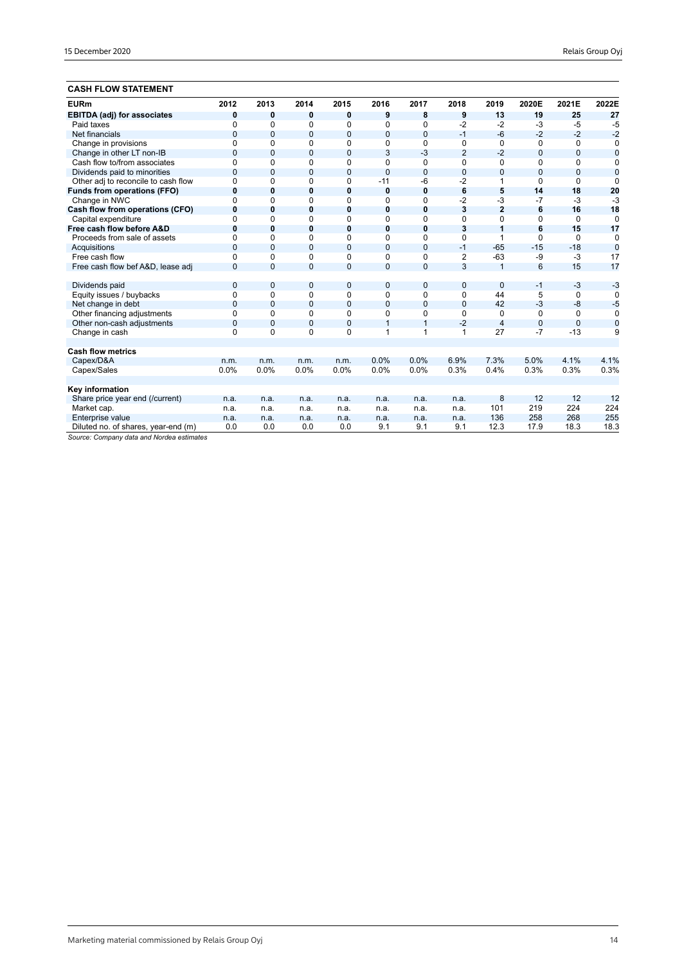# **CASH FLOW STATEMENT**

| <b>EURm</b>                         | 2012           | 2013           | 2014         | 2015           | 2016           | 2017           | 2018           | 2019           | 2020E          | 2021E        | 2022E          |
|-------------------------------------|----------------|----------------|--------------|----------------|----------------|----------------|----------------|----------------|----------------|--------------|----------------|
| <b>EBITDA (adj) for associates</b>  | 0              | 0              | 0            | 0              | 9              | 8              | 9              | 13             | 19             | 25           | 27             |
| Paid taxes                          | $\Omega$       | 0              | $\Omega$     | 0              | $\Omega$       | 0              | $-2$           | $-2$           | $-3$           | $-5$         | $-5$           |
| Net financials                      | $\mathbf{0}$   | $\mathbf{0}$   | $\mathbf{0}$ | $\overline{0}$ | $\mathbf{0}$   | $\mathbf{0}$   | $-1$           | $-6$           | $-2$           | $-2$         | $-2$           |
| Change in provisions                | $\mathbf 0$    | 0              | 0            | 0              | 0              | 0              | 0              | 0              | 0              | 0            | 0              |
| Change in other LT non-IB           | $\overline{0}$ | $\Omega$       | $\mathbf{0}$ | 0              | 3              | $-3$           | $\overline{2}$ | $-2$           | $\overline{0}$ | $\mathbf{0}$ | $\bf{0}$       |
| Cash flow to/from associates        | $\Omega$       | 0              | $\Omega$     | 0              | $\Omega$       | $\mathbf 0$    | $\Omega$       | $\Omega$       | $\Omega$       | $\Omega$     | 0              |
| Dividends paid to minorities        | $\overline{0}$ | $\overline{0}$ | $\mathbf{0}$ | $\overline{0}$ | $\mathbf{0}$   | $\mathbf 0$    | $\Omega$       | $\overline{0}$ | $\Omega$       | 0            | $\overline{0}$ |
| Other adj to reconcile to cash flow | $\Omega$       | $\Omega$       | $\Omega$     | 0              | $-11$          | -6             | $-2$           | 1              | $\Omega$       | $\Omega$     | $\Omega$       |
| <b>Funds from operations (FFO)</b>  | $\bf{0}$       | 0              | $\bf{0}$     | 0              | $\mathbf 0$    | $\bf{0}$       | 6              | 5              | 14             | 18           | 20             |
| Change in NWC                       | $\Omega$       | 0              | 0            | 0              | 0              | 0              | $-2$           | $-3$           | $-7$           | $-3$         | $-3$           |
| Cash flow from operations (CFO)     | $\bf{0}$       | $\bf{0}$       | $\bf{0}$     | 0              | $\mathbf 0$    | $\bf{0}$       | 3              | $\overline{2}$ | 6              | 16           | 18             |
| Capital expenditure                 | $\Omega$       | 0              | 0            | 0              | $\Omega$       | $\Omega$       | $\Omega$       | $\Omega$       | $\Omega$       | $\Omega$     | $\mathbf 0$    |
| Free cash flow before A&D           | $\bf{0}$       | 0              | 0            | 0              | $\mathbf 0$    | 0              | 3              | 1              | 6              | 15           | 17             |
| Proceeds from sale of assets        | $\Omega$       | $\Omega$       | $\Omega$     | 0              | $\Omega$       | 0              | $\Omega$       | 1              | $\Omega$       | $\Omega$     | $\mathbf 0$    |
| Acquisitions                        | $\Omega$       | $\overline{0}$ | $\mathbf 0$  | 0              | $\overline{0}$ | $\overline{0}$ | $-1$           | $-65$          | $-15$          | $-18$        | $\mathbf 0$    |
| Free cash flow                      | $\Omega$       | $\Omega$       | $\Omega$     | 0              | 0              | 0              | $\overline{2}$ | $-63$          | -9             | $-3$         | 17             |
| Free cash flow bef A&D, lease adj   | $\Omega$       | $\Omega$       | $\mathbf 0$  | $\overline{0}$ | $\overline{0}$ | $\Omega$       | 3              | $\overline{1}$ | 6              | 15           | 17             |
|                                     |                |                |              |                |                |                |                |                |                |              |                |
| Dividends paid                      | $\mathbf 0$    | $\mathbf{0}$   | $\mathbf 0$  | 0              | $\mathbf 0$    | $\mathbf 0$    | $\overline{0}$ | $\Omega$       | $-1$           | $-3$         | $-3$           |
| Equity issues / buybacks            | $\mathbf 0$    | $\Omega$       | 0            | 0              | $\mathbf 0$    | 0              | 0              | 44             | 5              | 0            | $\Omega$       |
| Net change in debt                  | $\mathbf{0}$   | $\mathbf{0}$   | $\mathbf{0}$ | 0              | $\mathbf{0}$   | $\overline{0}$ | $\overline{0}$ | 42             | $-3$           | -8           | $-5$           |
| Other financing adjustments         | $\mathbf 0$    | 0              | $\Omega$     | 0              | $\mathbf 0$    | 0              | $\Omega$       | 0              | 0              | $\Omega$     | $\Omega$       |
| Other non-cash adjustments          | $\mathbf 0$    | $\overline{0}$ | $\mathbf{0}$ | 0              | 1              | $\mathbf{1}$   | $-2$           | $\overline{4}$ | $\mathbf 0$    | $\Omega$     | $\mathbf 0$    |
| Change in cash                      | $\Omega$       | $\Omega$       | $\Omega$     | 0              | 1              | 1              | 1              | 27             | $-7$           | $-13$        | 9              |
|                                     |                |                |              |                |                |                |                |                |                |              |                |
| <b>Cash flow metrics</b>            |                |                |              |                |                |                |                |                |                |              |                |
| Capex/D&A                           | n.m.           | n.m.           | n.m.         | n.m.           | 0.0%           | 0.0%           | 6.9%           | 7.3%           | 5.0%           | 4.1%         | 4.1%           |
| Capex/Sales                         | 0.0%           | 0.0%           | 0.0%         | 0.0%           | 0.0%           | 0.0%           | 0.3%           | 0.4%           | 0.3%           | 0.3%         | 0.3%           |
|                                     |                |                |              |                |                |                |                |                |                |              |                |
| Key information                     |                |                |              |                |                |                |                |                |                |              |                |
| Share price year end (/current)     | n.a.           | n.a.           | n.a.         | n.a.           | n.a.           | n.a.           | n.a.           | 8              | 12             | 12           | 12             |
| Market cap.                         | n.a.           | n.a.           | n.a.         | n.a.           | n.a.           | n.a.           | n.a.           | 101            | 219            | 224          | 224            |
| Enterprise value                    | n.a.           | n.a.           | n.a.         | n.a.           | n.a.           | n.a.           | n.a.           | 136            | 258            | 268          | 255            |
| Diluted no. of shares, year-end (m) | 0.0            | 0.0            | 0.0          | 0.0            | 9.1            | 9.1            | 9.1            | 12.3           | 17.9           | 18.3         | 18.3           |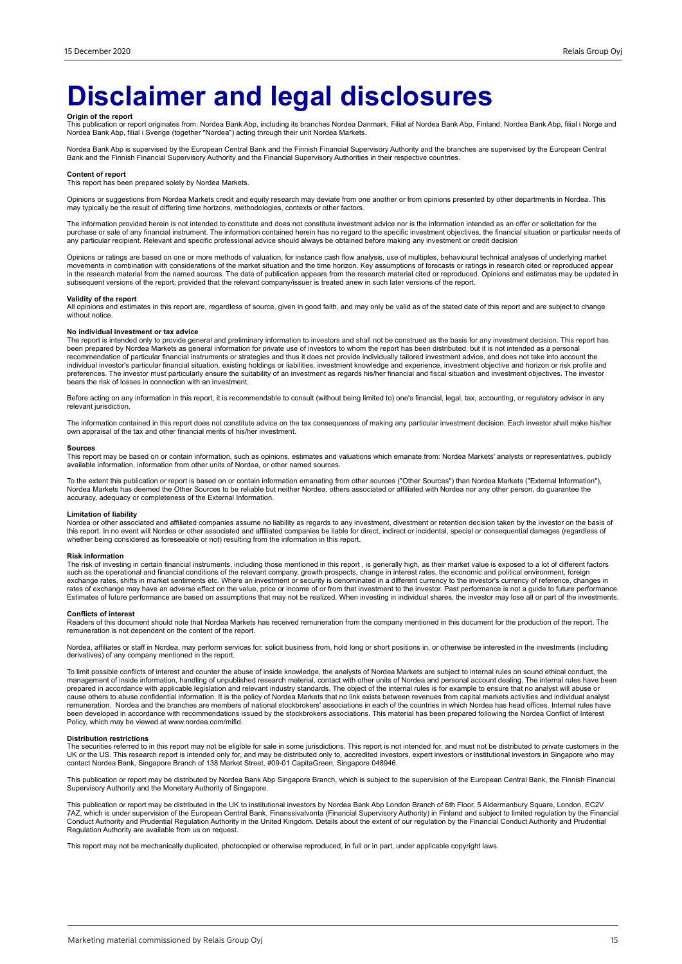# **Disclaimer and legal disclosures**

**Origin of the report**<br>This publication or report originates from: Nordea Bank Abp, including its branches Nordea Danmark, Filial af Nordea Bank Abp, Finland, Nordea Bank Abp, filial i Norge and<br>Nordea Bank Abp, filial i S

Nordea Bank Abp is supervised by the European Central Bank and the Finnish Financial Supervisory Authority and the branches are supervised by the European Central Bank and the Finnish Financial Supervisory Authority and the Financial Supervisory Authorities in their respective countries.

#### **Content of report**

This report has been prepared solely by Nordea Markets.

Opinions or suggestions from Nordea Markets credit and equity research may deviate from one another or from opinions presented by other departments in Nordea. This may typically be the result of differing time horizons, methodologies, contexts or other factors.

The information provided herein is not intended to constitute and does not constitute investment advice nor is the information intended as an offer or solicitation for the purchase or sale of any financial instrument. The information contained herein has no regard to the specific investment objectives, the financial situation or particular needs of any particular recipient. Relevant and specific professional advice should always be obtained before making any investment or credit decision

Opinions or ratings are based on one or more methods of valuation, for instance cash flow analysis, use of multiples, behavioural technical analyses of underlying market movements in combination with considerations of the market situation and the time horizon. Key assumptions of forecasts or ratings in research cited or reproduced appear<br>in the research material from the named sources. The subsequent versions of the report, provided that the relevant company/issuer is treated anew in such later versions of the report.

#### **Validity of the report**

All opinions and estimates in this report are, regardless of source, given in good faith, and may only be valid as of the stated date of this report and are subject to change without notice.

#### **No individual investment or tax advice**

The report is intended only to provide general and preliminary information to investors and shall not be construed as the basis for any investment decision. This report has<br>been prepared by Nordea Markets as general inform bears the risk of losses in connection with an investment.

Before acting on any information in this report, it is recommendable to consult (without being limited to) one's financial, legal, tax, accounting, or regulatory advisor in any relevant jurisdiction.

The information contained in this report does not constitute advice on the tax consequences of making any particular investment decision. Each investor shall make his/her own appraisal of the tax and other financial merits of his/her investment.

#### **Sources**

This report may be based on or contain information, such as opinions, estimates and valuations which emanate from: Nordea Markets' analysts or representatives, publicly<br>available information, information from other units o

To the extent this publication or report is based on or contain information emanating from other sources ("Other Sources") than Nordea Markets ("External Information"),<br>Nordea Markets has deemed the Other Sources to be rel accuracy, adequacy or completeness of the External Information.

#### **Limitation of liability**

Nordea or other associated and affiliated companies assume no liability as regards to any investment, divestment or retention decision taken by the investor on the basis of<br>this report. In no event will Nordea or other ass whether being considered as foreseeable or not) resulting from the information in this report.

#### **Risk information**

The risk of investing in certain financial instruments, including those mentioned in this report , is generally high, as their market value is exposed to a lot of different factors<br>such as the operational and financial con exchange rates, shifts in market sentiments etc. Where an investment or security is denominated in a different currency to the investor's currency of reference, changes in<br>rates of exchange may have an adverse effect on th Estimates of future performance are based on assumptions that may not be realized. When investing in individual shares, the investor may lose all or part of the investments.

#### **Conflicts of interest**

Readers of this document should note that Nordea Markets has received remuneration from the company mentioned in this document for the production of the report. The remuneration is not dependent on the content of the report.

Nordea, affiliates or staff in Nordea, may perform services for, solicit business from, hold long or short positions in, or otherwise be interested in the investments (including derivatives) of any company mentioned in the report.

To limit possible conflicts of interest and counter the abuse of inside knowledge, the analysts of Nordea Markets are subject to internal rules on sound ethical conduct, the management of inside information, handling of unpublished research material, contact with other units of Nordea and personal account dealing. The internal rules have been<br>prepared in accordance with applicable legislation cause others to abuse confidential information. It is the policy of Nordea Markets that no link exists between revenues from capital markets activities and individual analyst remuneration. Nordea and the branches are members of national stockbrokers' associations in each of the countries in which Nordea has head offices. Internal rules have<br>been developed in accordance with recommendations iss Policy, which may be viewed at www.nordea.com/mifid.

#### **Distribution restrictions**

The securities referred to in this report may not be eligible for sale in some jurisdictions. This report is not intended for, and must not be distributed to private customers in the UK or the US. This research report is intended only for, and may be distributed only to, accredited investors, expert investors or institutional investors in Singapore who may<br>contact Nordea Bank, Singapore Branch of 138 M

This publication or report may be distributed by Nordea Bank Abp Singapore Branch, which is subject to the supervision of the European Central Bank, the Finnish Financial<br>Supervisory Authority and the Monetary Authority of

This publication or report may be distributed in the UK to institutional investors by Nordea Bank Abp London Branch of 6th Floor, 5 Aldermanbury Square, London, EC2V<br>7AZ, which is under supervision of the European Central Conduct Authority and Prudential Regulation Authority in the United Kingdom. Details about the extent of our regulation by the Financial Conduct Authority and Prudential<br>Regulation Authority are available from us on reques

This report may not be mechanically duplicated, photocopied or otherwise reproduced, in full or in part, under applicable copyright laws.